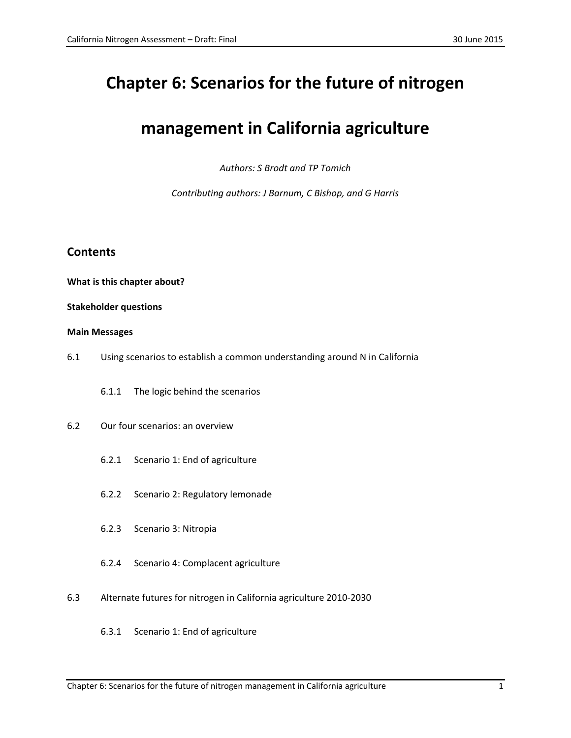# **Chapter 6: Scenarios for the future of nitrogen**

# **management in California agriculture**

*Authors: S Brodt and TP Tomich*

*Contributing authors: J Barnum, C Bishop, and G Harris*

### **Contents**

**What is this chapter about?**

#### **Stakeholder questions**

#### **Main Messages**

- 6.1 Using scenarios to establish a common understanding around N in California
	- 6.1.1 The logic behind the scenarios
- 6.2 Our four scenarios: an overview
	- 6.2.1 Scenario 1: End of agriculture
	- 6.2.2 Scenario 2: Regulatory lemonade
	- 6.2.3 Scenario 3: Nitropia
	- 6.2.4 Scenario 4: Complacent agriculture
- 6.3 Alternate futures for nitrogen in California agriculture 2010-2030
	- 6.3.1 Scenario 1: End of agriculture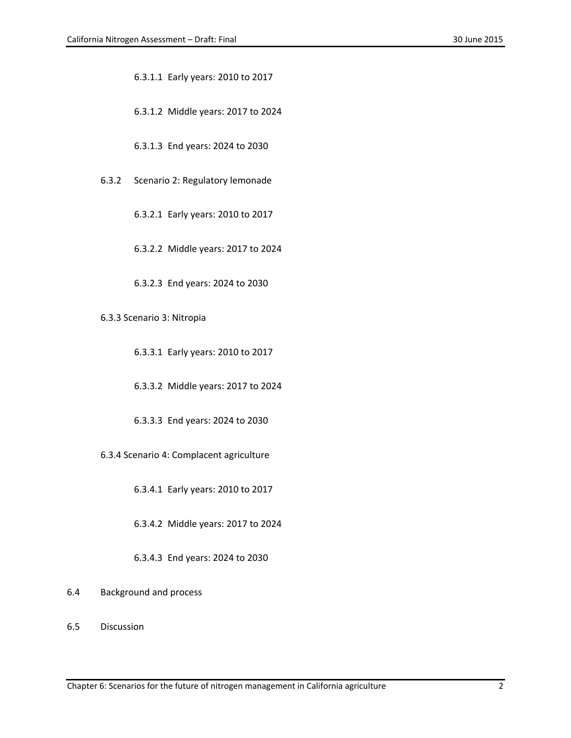6.3.1.1 Early years: 2010 to 2017

6.3.1.2 Middle years: 2017 to 2024

6.3.1.3 End years: 2024 to 2030

6.3.2 Scenario 2: Regulatory lemonade

6.3.2.1 Early years: 2010 to 2017

6.3.2.2 Middle years: 2017 to 2024

6.3.2.3 End years: 2024 to 2030

6.3.3 Scenario 3: Nitropia

6.3.3.1 Early years: 2010 to 2017

6.3.3.2 Middle years: 2017 to 2024

6.3.3.3 End years: 2024 to 2030

6.3.4 Scenario 4: Complacent agriculture

6.3.4.1 Early years: 2010 to 2017

6.3.4.2 Middle years: 2017 to 2024

6.3.4.3 End years: 2024 to 2030

6.4 Background and process

6.5 Discussion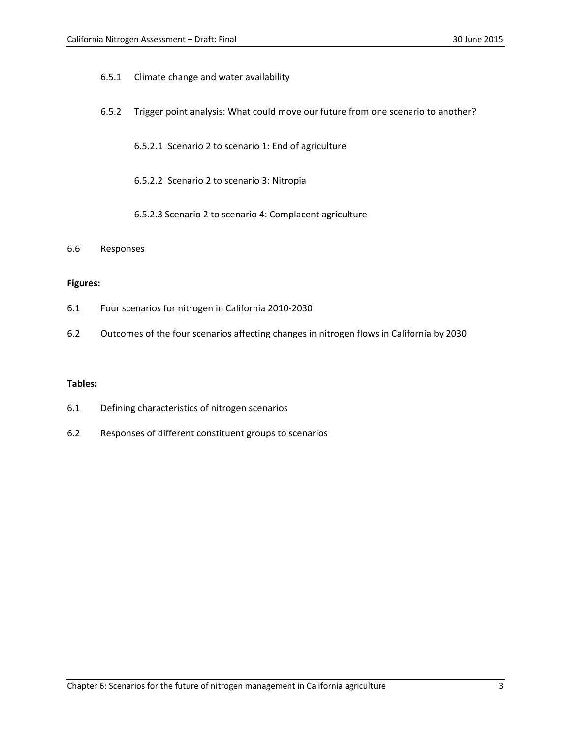- 6.5.1 Climate change and water availability
- 6.5.2 Trigger point analysis: What could move our future from one scenario to another?
	- 6.5.2.1 Scenario 2 to scenario 1: End of agriculture
	- 6.5.2.2 Scenario 2 to scenario 3: Nitropia
	- 6.5.2.3 Scenario 2 to scenario 4: Complacent agriculture
- 6.6 Responses

#### **Figures:**

- 6.1 Four scenarios for nitrogen in California 2010-2030
- 6.2 Outcomes of the four scenarios affecting changes in nitrogen flows in California by 2030

#### **Tables:**

- 6.1 Defining characteristics of nitrogen scenarios
- 6.2 Responses of different constituent groups to scenarios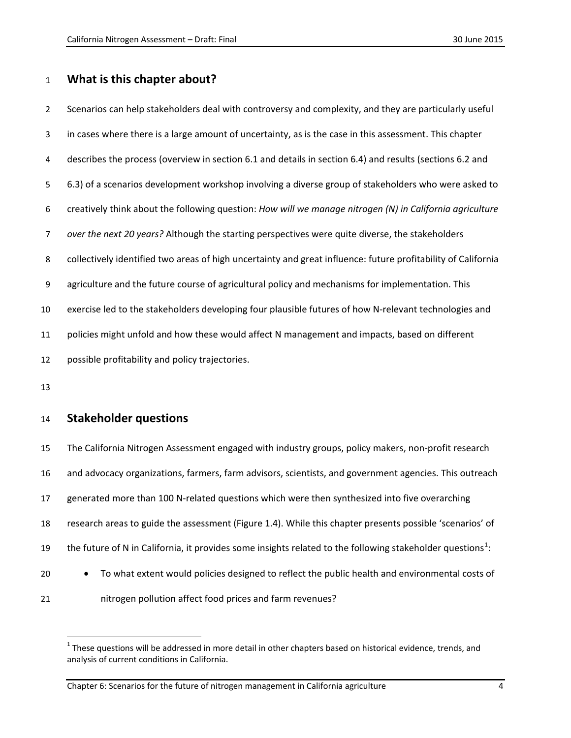# **What is this chapter about?**

 Scenarios can help stakeholders deal with controversy and complexity, and they are particularly useful in cases where there is a large amount of uncertainty, as is the case in this assessment. This chapter describes the process (overview in section 6.1 and details in section 6.4) and results (sections 6.2 and 6.3) of a scenarios development workshop involving a diverse group of stakeholders who were asked to creatively think about the following question: *How will we manage nitrogen (N) in California agriculture over the next 20 years?* Although the starting perspectives were quite diverse, the stakeholders collectively identified two areas of high uncertainty and great influence: future profitability of California agriculture and the future course of agricultural policy and mechanisms for implementation. This exercise led to the stakeholders developing four plausible futures of how N-relevant technologies and policies might unfold and how these would affect N management and impacts, based on different possible profitability and policy trajectories.

### **Stakeholder questions**

 The California Nitrogen Assessment engaged with industry groups, policy makers, non-profit research and advocacy organizations, farmers, farm advisors, scientists, and government agencies. This outreach generated more than 100 N-related questions which were then synthesized into five overarching research areas to guide the assessment (Figure 1.4). While this chapter presents possible 'scenarios' of the future of N in California, it provides some insights related to the following stakeholder questions<sup>[1](#page-3-0)</sup>: 20 • To what extent would policies designed to reflect the public health and environmental costs of nitrogen pollution affect food prices and farm revenues?

Chapter 6: Scenarios for the future of nitrogen management in California agriculture 4

<span id="page-3-0"></span> These questions will be addressed in more detail in other chapters based on historical evidence, trends, and analysis of current conditions in California.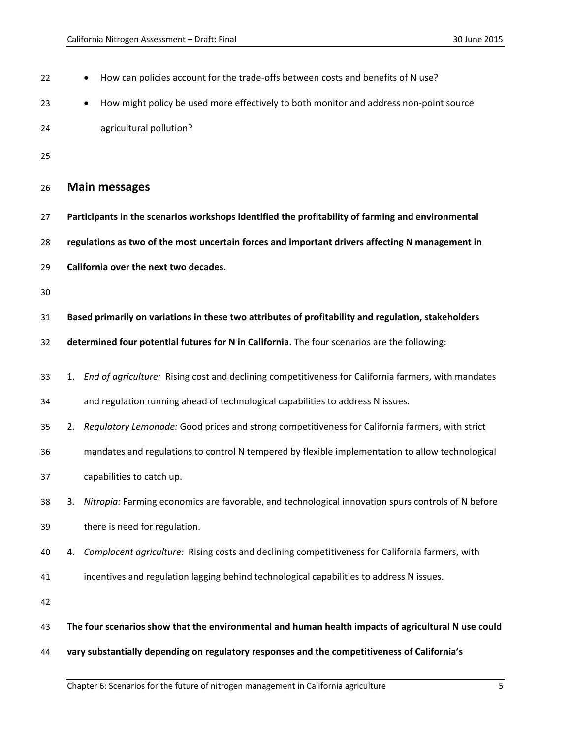| 22 |    | How can policies account for the trade-offs between costs and benefits of N use?                       |
|----|----|--------------------------------------------------------------------------------------------------------|
| 23 |    | How might policy be used more effectively to both monitor and address non-point source<br>$\bullet$    |
| 24 |    | agricultural pollution?                                                                                |
| 25 |    |                                                                                                        |
| 26 |    | <b>Main messages</b>                                                                                   |
| 27 |    | Participants in the scenarios workshops identified the profitability of farming and environmental      |
| 28 |    | regulations as two of the most uncertain forces and important drivers affecting N management in        |
| 29 |    | California over the next two decades.                                                                  |
| 30 |    |                                                                                                        |
| 31 |    | Based primarily on variations in these two attributes of profitability and regulation, stakeholders    |
| 32 |    | determined four potential futures for N in California. The four scenarios are the following:           |
| 33 |    | 1. End of agriculture: Rising cost and declining competitiveness for California farmers, with mandates |
| 34 |    | and regulation running ahead of technological capabilities to address N issues.                        |
| 35 |    | 2. Regulatory Lemonade: Good prices and strong competitiveness for California farmers, with strict     |
| 36 |    | mandates and regulations to control N tempered by flexible implementation to allow technological       |
| 37 |    | capabilities to catch up.                                                                              |
| 38 | 3. | Nitropia: Farming economics are favorable, and technological innovation spurs controls of N before     |
| 39 |    | there is need for regulation.                                                                          |
| 40 |    | 4. Complacent agriculture: Rising costs and declining competitiveness for California farmers, with     |
| 41 |    | incentives and regulation lagging behind technological capabilities to address N issues.               |
| 42 |    |                                                                                                        |
| 43 |    | The four scenarios show that the environmental and human health impacts of agricultural N use could    |
| 44 |    | vary substantially depending on regulatory responses and the competitiveness of California's           |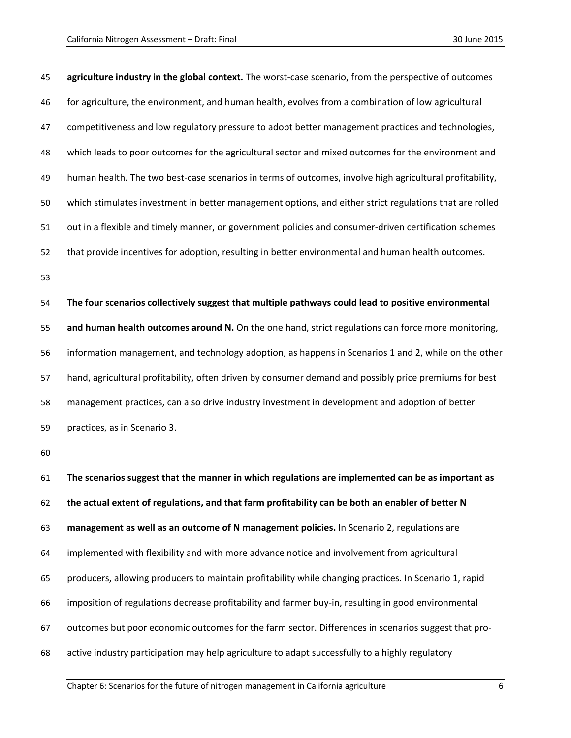| 45 | agriculture industry in the global context. The worst-case scenario, from the perspective of outcomes    |
|----|----------------------------------------------------------------------------------------------------------|
| 46 | for agriculture, the environment, and human health, evolves from a combination of low agricultural       |
| 47 | competitiveness and low regulatory pressure to adopt better management practices and technologies,       |
| 48 | which leads to poor outcomes for the agricultural sector and mixed outcomes for the environment and      |
| 49 | human health. The two best-case scenarios in terms of outcomes, involve high agricultural profitability, |
| 50 | which stimulates investment in better management options, and either strict regulations that are rolled  |
| 51 | out in a flexible and timely manner, or government policies and consumer-driven certification schemes    |
| 52 | that provide incentives for adoption, resulting in better environmental and human health outcomes.       |
| 53 |                                                                                                          |
| 54 | The four scenarios collectively suggest that multiple pathways could lead to positive environmental      |
| 55 | and human health outcomes around N. On the one hand, strict regulations can force more monitoring,       |
| 56 | information management, and technology adoption, as happens in Scenarios 1 and 2, while on the other     |
| 57 | hand, agricultural profitability, often driven by consumer demand and possibly price premiums for best   |
| 58 | management practices, can also drive industry investment in development and adoption of better           |
| 59 | practices, as in Scenario 3.                                                                             |
| 60 |                                                                                                          |
| 61 | The scenarios suggest that the manner in which regulations are implemented can be as important as        |
| 62 | the actual extent of regulations, and that farm profitability can be both an enabler of better N         |
| 63 | management as well as an outcome of N management policies. In Scenario 2, regulations are                |
| 64 | implemented with flexibility and with more advance notice and involvement from agricultural              |
| 65 | producers, allowing producers to maintain profitability while changing practices. In Scenario 1, rapid   |
| 66 | imposition of regulations decrease profitability and farmer buy-in, resulting in good environmental      |
| 67 | outcomes but poor economic outcomes for the farm sector. Differences in scenarios suggest that pro-      |
| 68 | active industry participation may help agriculture to adapt successfully to a highly regulatory          |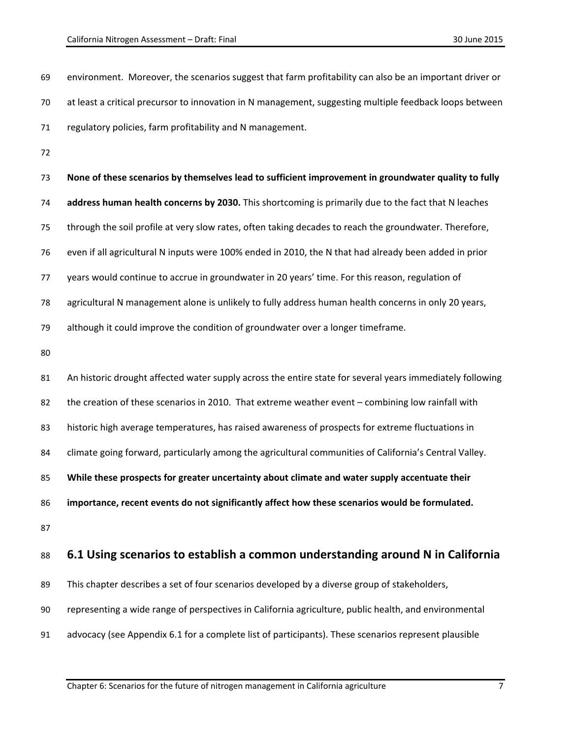| 69 | environment. Moreover, the scenarios suggest that farm profitability can also be an important driver or   |
|----|-----------------------------------------------------------------------------------------------------------|
| 70 | at least a critical precursor to innovation in N management, suggesting multiple feedback loops between   |
| 71 | regulatory policies, farm profitability and N management.                                                 |
| 72 |                                                                                                           |
| 73 | None of these scenarios by themselves lead to sufficient improvement in groundwater quality to fully      |
| 74 | address human health concerns by 2030. This shortcoming is primarily due to the fact that N leaches       |
| 75 | through the soil profile at very slow rates, often taking decades to reach the groundwater. Therefore,    |
| 76 | even if all agricultural N inputs were 100% ended in 2010, the N that had already been added in prior     |
| 77 | years would continue to accrue in groundwater in 20 years' time. For this reason, regulation of           |
| 78 | agricultural N management alone is unlikely to fully address human health concerns in only 20 years,      |
| 79 | although it could improve the condition of groundwater over a longer timeframe.                           |
| 80 |                                                                                                           |
| 81 | An historic drought affected water supply across the entire state for several years immediately following |
| 82 | the creation of these scenarios in 2010. That extreme weather event - combining low rainfall with         |
| 83 | historic high average temperatures, has raised awareness of prospects for extreme fluctuations in         |
| 84 | climate going forward, particularly among the agricultural communities of California's Central Valley.    |
| 85 | While these prospects for greater uncertainty about climate and water supply accentuate their             |
| 86 | importance, recent events do not significantly affect how these scenarios would be formulated.            |
| 87 |                                                                                                           |
| 88 | 6.1 Using scenarios to establish a common understanding around N in California                            |
| 89 | This chapter describes a set of four scenarios developed by a diverse group of stakeholders,              |
| 90 | representing a wide range of perspectives in California agriculture, public health, and environmental     |
| 91 | advocacy (see Appendix 6.1 for a complete list of participants). These scenarios represent plausible      |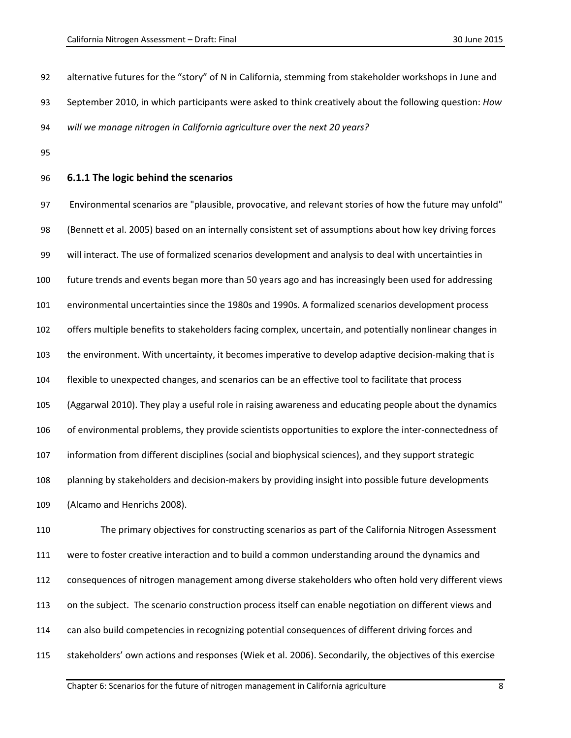- alternative futures for the "story" of N in California, stemming from stakeholder workshops in June and September 2010, in which participants were asked to think creatively about the following question: *How*
- *will we manage nitrogen in California agriculture over the next 20 years?*
- 

#### **6.1.1 The logic behind the scenarios**

 Environmental scenarios are "plausible, provocative, and relevant stories of how the future may unfold" (Bennett et al. 2005) based on an internally consistent set of assumptions about how key driving forces will interact. The use of formalized scenarios development and analysis to deal with uncertainties in future trends and events began more than 50 years ago and has increasingly been used for addressing environmental uncertainties since the 1980s and 1990s. A formalized scenarios development process offers multiple benefits to stakeholders facing complex, uncertain, and potentially nonlinear changes in the environment. With uncertainty, it becomes imperative to develop adaptive decision-making that is flexible to unexpected changes, and scenarios can be an effective tool to facilitate that process (Aggarwal 2010). They play a useful role in raising awareness and educating people about the dynamics of environmental problems, they provide scientists opportunities to explore the inter-connectedness of information from different disciplines (social and biophysical sciences), and they support strategic planning by stakeholders and decision-makers by providing insight into possible future developments (Alcamo and Henrichs 2008).

 The primary objectives for constructing scenarios as part of the California Nitrogen Assessment were to foster creative interaction and to build a common understanding around the dynamics and consequences of nitrogen management among diverse stakeholders who often hold very different views on the subject. The scenario construction process itself can enable negotiation on different views and can also build competencies in recognizing potential consequences of different driving forces and stakeholders' own actions and responses (Wiek et al. 2006). Secondarily, the objectives of this exercise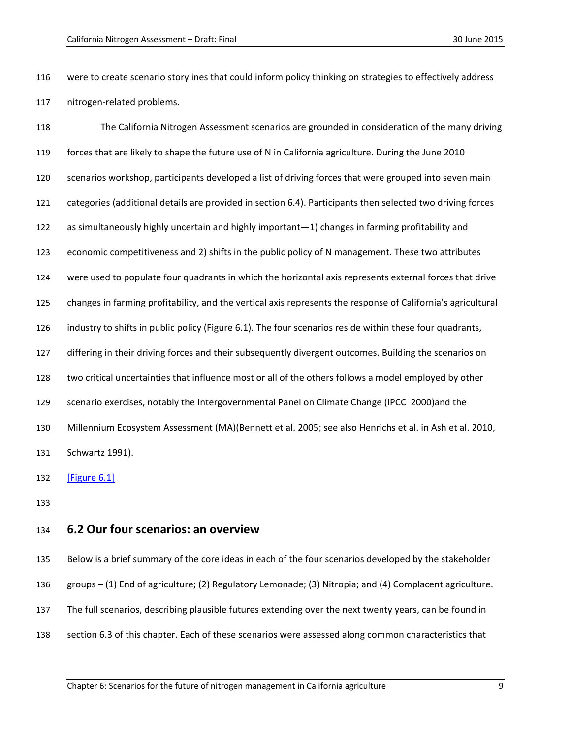were to create scenario storylines that could inform policy thinking on strategies to effectively address nitrogen-related problems.

 The California Nitrogen Assessment scenarios are grounded in consideration of the many driving forces that are likely to shape the future use of N in California agriculture. During the June 2010 scenarios workshop, participants developed a list of driving forces that were grouped into seven main categories (additional details are provided in section 6.4). Participants then selected two driving forces as simultaneously highly uncertain and highly important—1) changes in farming profitability and economic competitiveness and 2) shifts in the public policy of N management. These two attributes were used to populate four quadrants in which the horizontal axis represents external forces that drive changes in farming profitability, and the vertical axis represents the response of California's agricultural industry to shifts in public policy (Figure 6.1). The four scenarios reside within these four quadrants, differing in their driving forces and their subsequently divergent outcomes. Building the scenarios on two critical uncertainties that influence most or all of the others follows a model employed by other scenario exercises, notably the Intergovernmental Panel on Climate Change (IPCC 2000)and the Millennium Ecosystem Assessment (MA)(Bennett et al. 2005; see also Henrichs et al. in Ash et al. 2010, Schwartz 1991).

<span id="page-8-0"></span>[\[Figure 6.1\]](#page-44-0)

#### **6.2 Our four scenarios: an overview**

 Below is a brief summary of the core ideas in each of the four scenarios developed by the stakeholder groups – (1) End of agriculture; (2) Regulatory Lemonade; (3) Nitropia; and (4) Complacent agriculture. The full scenarios, describing plausible futures extending over the next twenty years, can be found in section 6.3 of this chapter. Each of these scenarios were assessed along common characteristics that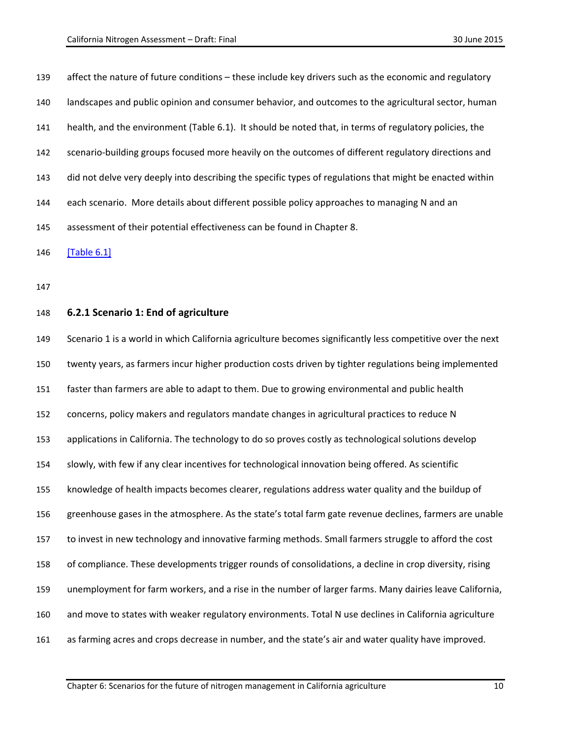affect the nature of future conditions – these include key drivers such as the economic and regulatory landscapes and public opinion and consumer behavior, and outcomes to the agricultural sector, human health, and the environment (Table 6.1). It should be noted that, in terms of regulatory policies, the scenario-building groups focused more heavily on the outcomes of different regulatory directions and did not delve very deeply into describing the specific types of regulations that might be enacted within each scenario. More details about different possible policy approaches to managing N and an assessment of their potential effectiveness can be found in Chapter 8.

<span id="page-9-0"></span>[\[Table 6.1\]](#page-47-0)

#### **6.2.1 Scenario 1: End of agriculture**

 Scenario 1 is a world in which California agriculture becomes significantly less competitive over the next twenty years, as farmers incur higher production costs driven by tighter regulations being implemented faster than farmers are able to adapt to them. Due to growing environmental and public health concerns, policy makers and regulators mandate changes in agricultural practices to reduce N applications in California. The technology to do so proves costly as technological solutions develop slowly, with few if any clear incentives for technological innovation being offered. As scientific knowledge of health impacts becomes clearer, regulations address water quality and the buildup of greenhouse gases in the atmosphere. As the state's total farm gate revenue declines, farmers are unable to invest in new technology and innovative farming methods. Small farmers struggle to afford the cost of compliance. These developments trigger rounds of consolidations, a decline in crop diversity, rising unemployment for farm workers, and a rise in the number of larger farms. Many dairies leave California, and move to states with weaker regulatory environments. Total N use declines in California agriculture as farming acres and crops decrease in number, and the state's air and water quality have improved.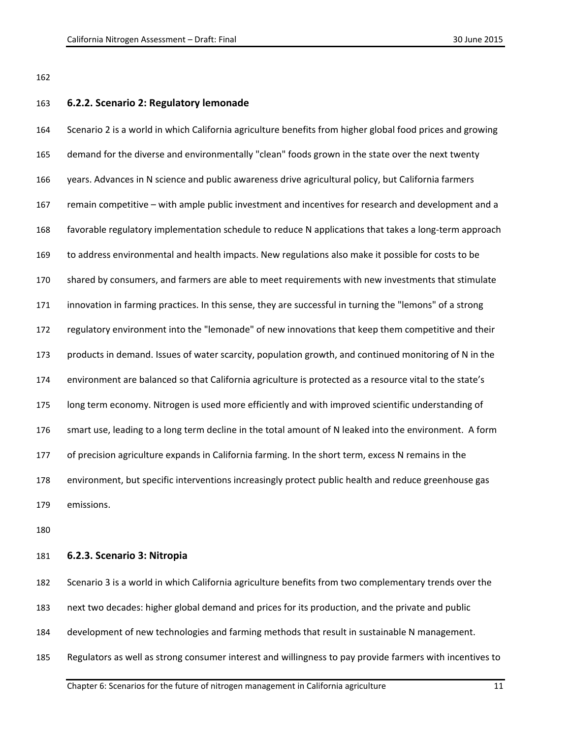**6.2.2. Scenario 2: Regulatory lemonade**

 Scenario 2 is a world in which California agriculture benefits from higher global food prices and growing demand for the diverse and environmentally "clean" foods grown in the state over the next twenty years. Advances in N science and public awareness drive agricultural policy, but California farmers remain competitive – with ample public investment and incentives for research and development and a favorable regulatory implementation schedule to reduce N applications that takes a long-term approach to address environmental and health impacts. New regulations also make it possible for costs to be shared by consumers, and farmers are able to meet requirements with new investments that stimulate innovation in farming practices. In this sense, they are successful in turning the "lemons" of a strong regulatory environment into the "lemonade" of new innovations that keep them competitive and their products in demand. Issues of water scarcity, population growth, and continued monitoring of N in the environment are balanced so that California agriculture is protected as a resource vital to the state's long term economy. Nitrogen is used more efficiently and with improved scientific understanding of smart use, leading to a long term decline in the total amount of N leaked into the environment. A form of precision agriculture expands in California farming. In the short term, excess N remains in the environment, but specific interventions increasingly protect public health and reduce greenhouse gas emissions.

#### **6.2.3. Scenario 3: Nitropia**

 Scenario 3 is a world in which California agriculture benefits from two complementary trends over the next two decades: higher global demand and prices for its production, and the private and public

- development of new technologies and farming methods that result in sustainable N management.
- Regulators as well as strong consumer interest and willingness to pay provide farmers with incentives to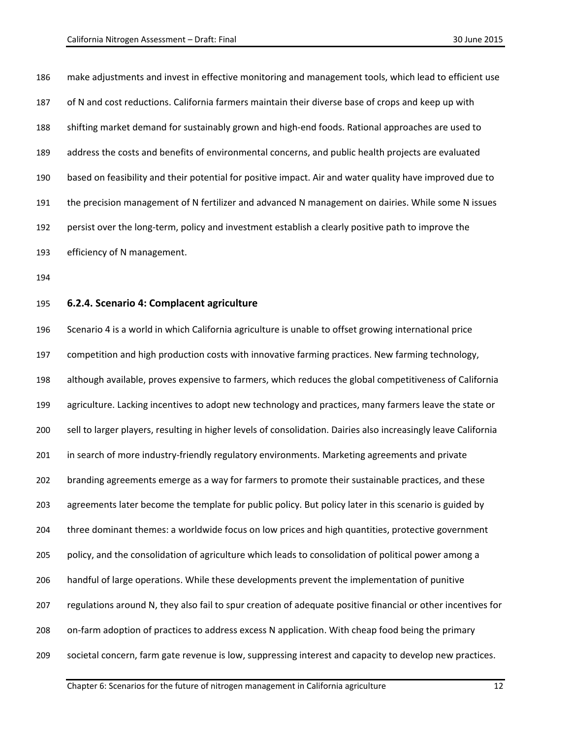make adjustments and invest in effective monitoring and management tools, which lead to efficient use of N and cost reductions. California farmers maintain their diverse base of crops and keep up with shifting market demand for sustainably grown and high-end foods. Rational approaches are used to address the costs and benefits of environmental concerns, and public health projects are evaluated based on feasibility and their potential for positive impact. Air and water quality have improved due to the precision management of N fertilizer and advanced N management on dairies. While some N issues persist over the long-term, policy and investment establish a clearly positive path to improve the efficiency of N management.

**6.2.4. Scenario 4: Complacent agriculture**

 Scenario 4 is a world in which California agriculture is unable to offset growing international price competition and high production costs with innovative farming practices. New farming technology, although available, proves expensive to farmers, which reduces the global competitiveness of California agriculture. Lacking incentives to adopt new technology and practices, many farmers leave the state or sell to larger players, resulting in higher levels of consolidation. Dairies also increasingly leave California in search of more industry-friendly regulatory environments. Marketing agreements and private branding agreements emerge as a way for farmers to promote their sustainable practices, and these agreements later become the template for public policy. But policy later in this scenario is guided by three dominant themes: a worldwide focus on low prices and high quantities, protective government policy, and the consolidation of agriculture which leads to consolidation of political power among a handful of large operations. While these developments prevent the implementation of punitive regulations around N, they also fail to spur creation of adequate positive financial or other incentives for on-farm adoption of practices to address excess N application. With cheap food being the primary societal concern, farm gate revenue is low, suppressing interest and capacity to develop new practices.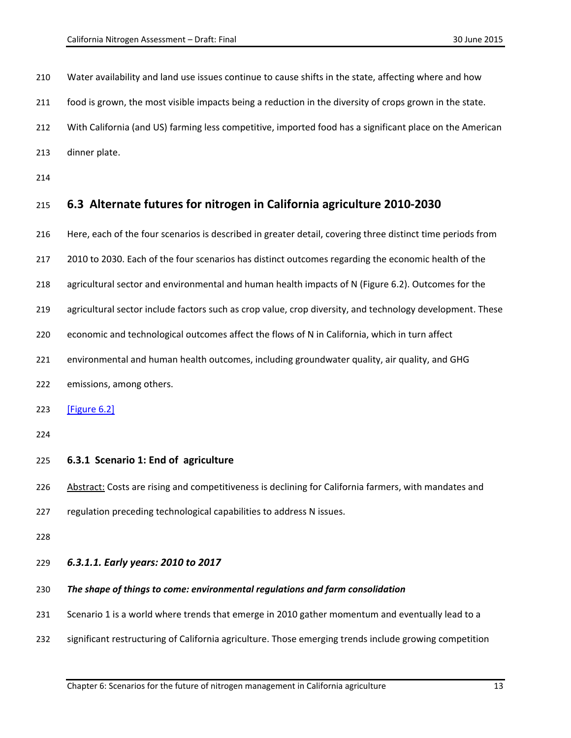210 Water availability and land use issues continue to cause shifts in the state, affecting where and how

food is grown, the most visible impacts being a reduction in the diversity of crops grown in the state.

With California (and US) farming less competitive, imported food has a significant place on the American

- dinner plate.
- 

# **6.3 Alternate futures for nitrogen in California agriculture 2010-2030**

<span id="page-12-0"></span>Here, each of the four scenarios is described in greater detail, covering three distinct time periods from

2010 to 2030. Each of the four scenarios has distinct outcomes regarding the economic health of the

- agricultural sector and environmental and human health impacts of N (Figure 6.2). Outcomes for the
- agricultural sector include factors such as crop value, crop diversity, and technology development. These
- economic and technological outcomes affect the flows of N in California, which in turn affect
- environmental and human health outcomes, including groundwater quality, air quality, and GHG
- emissions, among others.
- [\[Figure 6.2\]](#page-46-0)

**6.3.1 Scenario 1: End of agriculture**

Abstract: Costs are rising and competitiveness is declining for California farmers, with mandates and

regulation preceding technological capabilities to address N issues.

#### *6.3.1.1. Early years: 2010 to 2017*

- *The shape of things to come: environmental regulations and farm consolidation*
- Scenario 1 is a world where trends that emerge in 2010 gather momentum and eventually lead to a
- significant restructuring of California agriculture. Those emerging trends include growing competition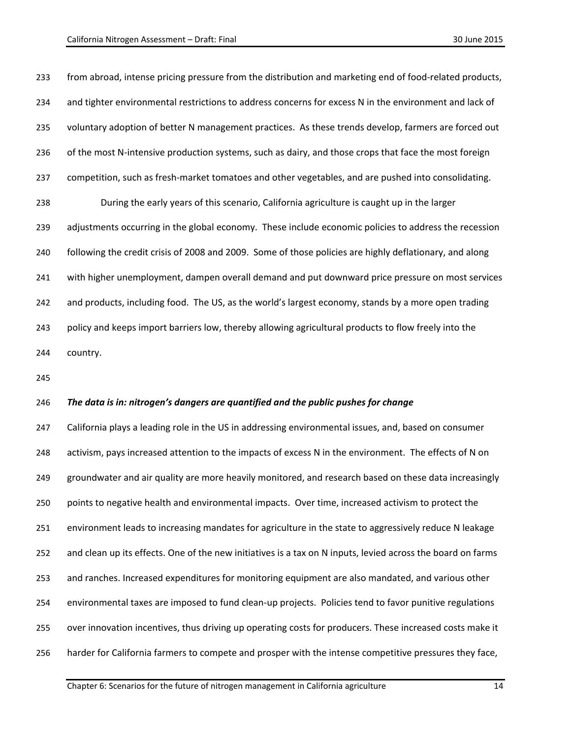from abroad, intense pricing pressure from the distribution and marketing end of food-related products, and tighter environmental restrictions to address concerns for excess N in the environment and lack of voluntary adoption of better N management practices. As these trends develop, farmers are forced out 236 of the most N-intensive production systems, such as dairy, and those crops that face the most foreign competition, such as fresh-market tomatoes and other vegetables, and are pushed into consolidating. During the early years of this scenario, California agriculture is caught up in the larger adjustments occurring in the global economy. These include economic policies to address the recession following the credit crisis of 2008 and 2009. Some of those policies are highly deflationary, and along with higher unemployment, dampen overall demand and put downward price pressure on most services and products, including food. The US, as the world's largest economy, stands by a more open trading policy and keeps import barriers low, thereby allowing agricultural products to flow freely into the country.

#### *The data is in: nitrogen's dangers are quantified and the public pushes for change*

 California plays a leading role in the US in addressing environmental issues, and, based on consumer 248 activism, pays increased attention to the impacts of excess N in the environment. The effects of N on groundwater and air quality are more heavily monitored, and research based on these data increasingly points to negative health and environmental impacts. Over time, increased activism to protect the environment leads to increasing mandates for agriculture in the state to aggressively reduce N leakage and clean up its effects. One of the new initiatives is a tax on N inputs, levied across the board on farms and ranches. Increased expenditures for monitoring equipment are also mandated, and various other environmental taxes are imposed to fund clean-up projects. Policies tend to favor punitive regulations over innovation incentives, thus driving up operating costs for producers. These increased costs make it harder for California farmers to compete and prosper with the intense competitive pressures they face,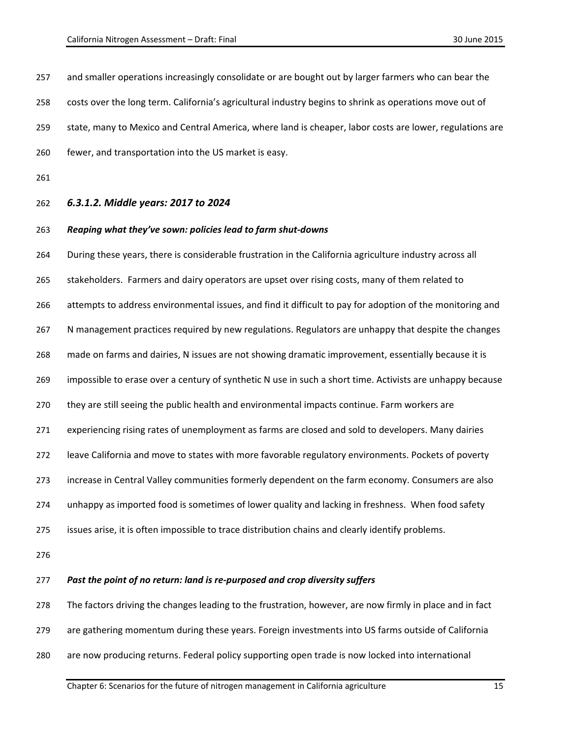| 257 | and smaller operations increasingly consolidate or are bought out by larger farmers who can bear the      |
|-----|-----------------------------------------------------------------------------------------------------------|
| 258 | costs over the long term. California's agricultural industry begins to shrink as operations move out of   |
| 259 | state, many to Mexico and Central America, where land is cheaper, labor costs are lower, regulations are  |
| 260 | fewer, and transportation into the US market is easy.                                                     |
| 261 |                                                                                                           |
| 262 | 6.3.1.2. Middle years: 2017 to 2024                                                                       |
| 263 | Reaping what they've sown: policies lead to farm shut-downs                                               |
| 264 | During these years, there is considerable frustration in the California agriculture industry across all   |
| 265 | stakeholders. Farmers and dairy operators are upset over rising costs, many of them related to            |
| 266 | attempts to address environmental issues, and find it difficult to pay for adoption of the monitoring and |
| 267 | N management practices required by new regulations. Regulators are unhappy that despite the changes       |
| 268 | made on farms and dairies, N issues are not showing dramatic improvement, essentially because it is       |
| 269 | impossible to erase over a century of synthetic N use in such a short time. Activists are unhappy because |
| 270 | they are still seeing the public health and environmental impacts continue. Farm workers are              |
| 271 | experiencing rising rates of unemployment as farms are closed and sold to developers. Many dairies        |
| 272 | leave California and move to states with more favorable regulatory environments. Pockets of poverty       |
| 273 | increase in Central Valley communities formerly dependent on the farm economy. Consumers are also         |
| 274 | unhappy as imported food is sometimes of lower quality and lacking in freshness. When food safety         |
| 275 | issues arise, it is often impossible to trace distribution chains and clearly identify problems.          |
| 276 |                                                                                                           |
| 277 | Past the point of no return: land is re-purposed and crop diversity suffers                               |
| 278 | The factors driving the changes leading to the frustration, however, are now firmly in place and in fact  |
| 279 | are gathering momentum during these years. Foreign investments into US farms outside of California        |

are now producing returns. Federal policy supporting open trade is now locked into international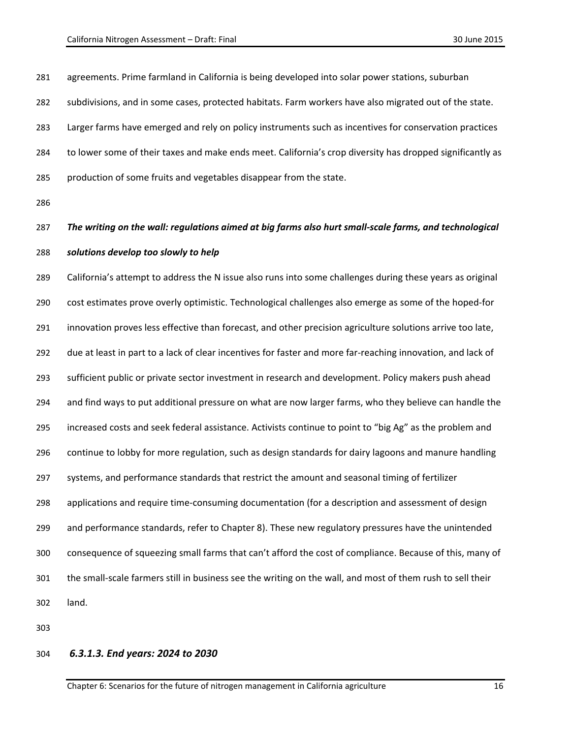agreements. Prime farmland in California is being developed into solar power stations, suburban subdivisions, and in some cases, protected habitats. Farm workers have also migrated out of the state. Larger farms have emerged and rely on policy instruments such as incentives for conservation practices to lower some of their taxes and make ends meet. California's crop diversity has dropped significantly as production of some fruits and vegetables disappear from the state. *The writing on the wall: regulations aimed at big farms also hurt small-scale farms, and technological solutions develop too slowly to help* California's attempt to address the N issue also runs into some challenges during these years as original cost estimates prove overly optimistic. Technological challenges also emerge as some of the hoped-for innovation proves less effective than forecast, and other precision agriculture solutions arrive too late, due at least in part to a lack of clear incentives for faster and more far-reaching innovation, and lack of sufficient public or private sector investment in research and development. Policy makers push ahead and find ways to put additional pressure on what are now larger farms, who they believe can handle the 295 increased costs and seek federal assistance. Activists continue to point to "big Ag" as the problem and continue to lobby for more regulation, such as design standards for dairy lagoons and manure handling systems, and performance standards that restrict the amount and seasonal timing of fertilizer applications and require time-consuming documentation (for a description and assessment of design and performance standards, refer to Chapter 8). These new regulatory pressures have the unintended consequence of squeezing small farms that can't afford the cost of compliance. Because of this, many of the small-scale farmers still in business see the writing on the wall, and most of them rush to sell their land.

#### *6.3.1.3. End years: 2024 to 2030*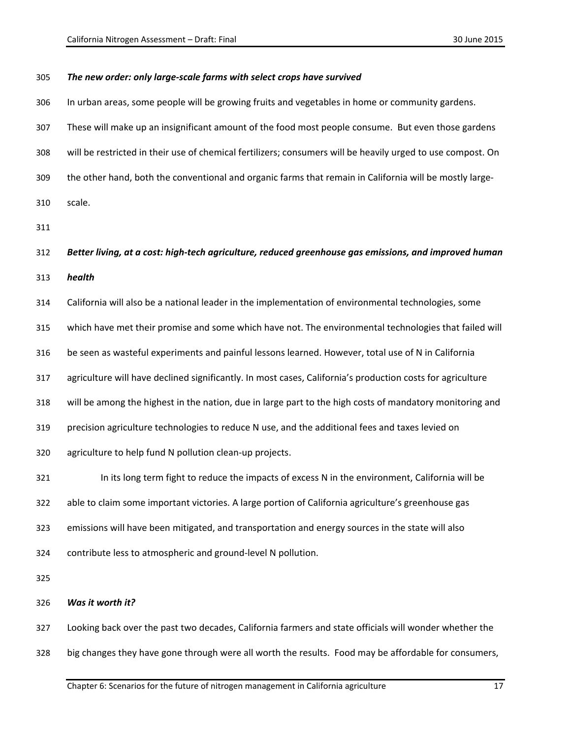| 305 | The new order: only large-scale farms with select crops have survived                                       |
|-----|-------------------------------------------------------------------------------------------------------------|
| 306 | In urban areas, some people will be growing fruits and vegetables in home or community gardens.             |
| 307 | These will make up an insignificant amount of the food most people consume. But even those gardens          |
| 308 | will be restricted in their use of chemical fertilizers; consumers will be heavily urged to use compost. On |
| 309 | the other hand, both the conventional and organic farms that remain in California will be mostly large-     |
| 310 | scale.                                                                                                      |
| 311 |                                                                                                             |
| 312 | Better living, at a cost: high-tech agriculture, reduced greenhouse gas emissions, and improved human       |
| 313 | health                                                                                                      |
| 314 | California will also be a national leader in the implementation of environmental technologies, some         |
| 315 | which have met their promise and some which have not. The environmental technologies that failed will       |
| 316 | be seen as wasteful experiments and painful lessons learned. However, total use of N in California          |
| 317 | agriculture will have declined significantly. In most cases, California's production costs for agriculture  |
| 318 | will be among the highest in the nation, due in large part to the high costs of mandatory monitoring and    |
| 319 | precision agriculture technologies to reduce N use, and the additional fees and taxes levied on             |
| 320 | agriculture to help fund N pollution clean-up projects.                                                     |
| 321 | In its long term fight to reduce the impacts of excess N in the environment, California will be             |
| 322 | able to claim some important victories. A large portion of California agriculture's greenhouse gas          |
| 323 | emissions will have been mitigated, and transportation and energy sources in the state will also            |
| 324 | contribute less to atmospheric and ground-level N pollution.                                                |
| 325 |                                                                                                             |
| 326 | Was it worth it?                                                                                            |
| 327 | Looking back over the past two decades, California farmers and state officials will wonder whether the      |
| 328 | big changes they have gone through were all worth the results. Food may be affordable for consumers,        |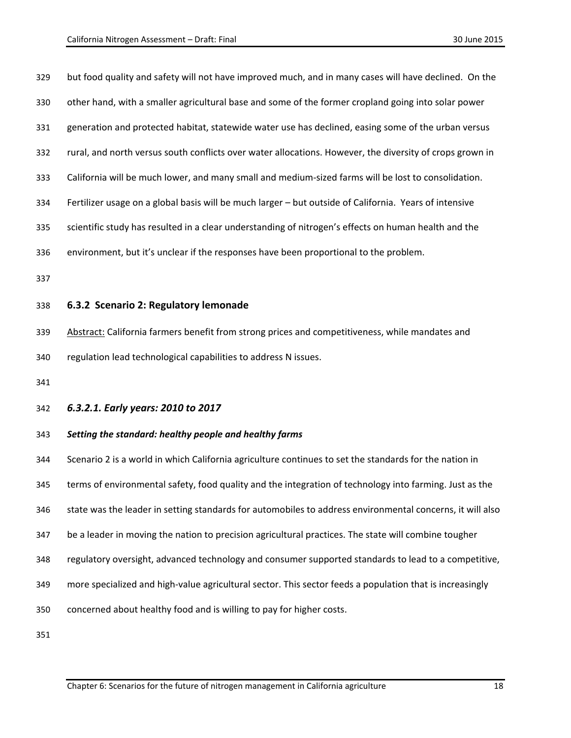| 329 | but food quality and safety will not have improved much, and in many cases will have declined. On the     |
|-----|-----------------------------------------------------------------------------------------------------------|
| 330 | other hand, with a smaller agricultural base and some of the former cropland going into solar power       |
| 331 | generation and protected habitat, statewide water use has declined, easing some of the urban versus       |
| 332 | rural, and north versus south conflicts over water allocations. However, the diversity of crops grown in  |
| 333 | California will be much lower, and many small and medium-sized farms will be lost to consolidation.       |
| 334 | Fertilizer usage on a global basis will be much larger - but outside of California. Years of intensive    |
| 335 | scientific study has resulted in a clear understanding of nitrogen's effects on human health and the      |
| 336 | environment, but it's unclear if the responses have been proportional to the problem.                     |
| 337 |                                                                                                           |
| 338 | 6.3.2 Scenario 2: Regulatory lemonade                                                                     |
| 339 | Abstract: California farmers benefit from strong prices and competitiveness, while mandates and           |
| 340 | regulation lead technological capabilities to address N issues.                                           |
| 341 |                                                                                                           |
| 342 | 6.3.2.1. Early years: 2010 to 2017                                                                        |
| 343 | Setting the standard: healthy people and healthy farms                                                    |
| 344 | Scenario 2 is a world in which California agriculture continues to set the standards for the nation in    |
| 345 | terms of environmental safety, food quality and the integration of technology into farming. Just as the   |
| 346 | state was the leader in setting standards for automobiles to address environmental concerns, it will also |
| 347 | be a leader in moving the nation to precision agricultural practices. The state will combine tougher      |
| 348 | regulatory oversight, advanced technology and consumer supported standards to lead to a competitive,      |
| 349 | more specialized and high-value agricultural sector. This sector feeds a population that is increasingly  |
| 350 | concerned about healthy food and is willing to pay for higher costs.                                      |
| 351 |                                                                                                           |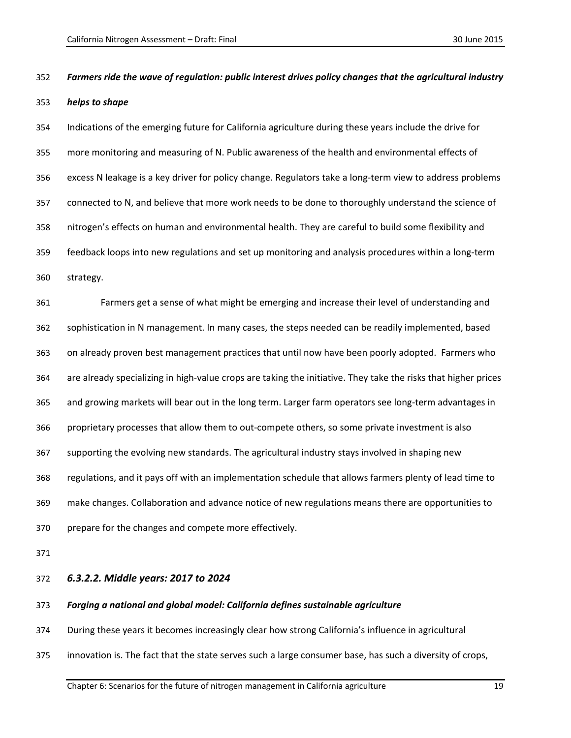# *Farmers ride the wave of regulation: public interest drives policy changes that the agricultural industry helps to shape*

 Indications of the emerging future for California agriculture during these years include the drive for more monitoring and measuring of N. Public awareness of the health and environmental effects of excess N leakage is a key driver for policy change. Regulators take a long-term view to address problems connected to N, and believe that more work needs to be done to thoroughly understand the science of nitrogen's effects on human and environmental health. They are careful to build some flexibility and feedback loops into new regulations and set up monitoring and analysis procedures within a long-term strategy.

 Farmers get a sense of what might be emerging and increase their level of understanding and sophistication in N management. In many cases, the steps needed can be readily implemented, based on already proven best management practices that until now have been poorly adopted. Farmers who are already specializing in high-value crops are taking the initiative. They take the risks that higher prices and growing markets will bear out in the long term. Larger farm operators see long-term advantages in proprietary processes that allow them to out-compete others, so some private investment is also supporting the evolving new standards. The agricultural industry stays involved in shaping new regulations, and it pays off with an implementation schedule that allows farmers plenty of lead time to make changes. Collaboration and advance notice of new regulations means there are opportunities to prepare for the changes and compete more effectively.

#### *6.3.2.2. Middle years: 2017 to 2024*

#### *Forging a national and global model: California defines sustainable agriculture*

- During these years it becomes increasingly clear how strong California's influence in agricultural
- innovation is. The fact that the state serves such a large consumer base, has such a diversity of crops,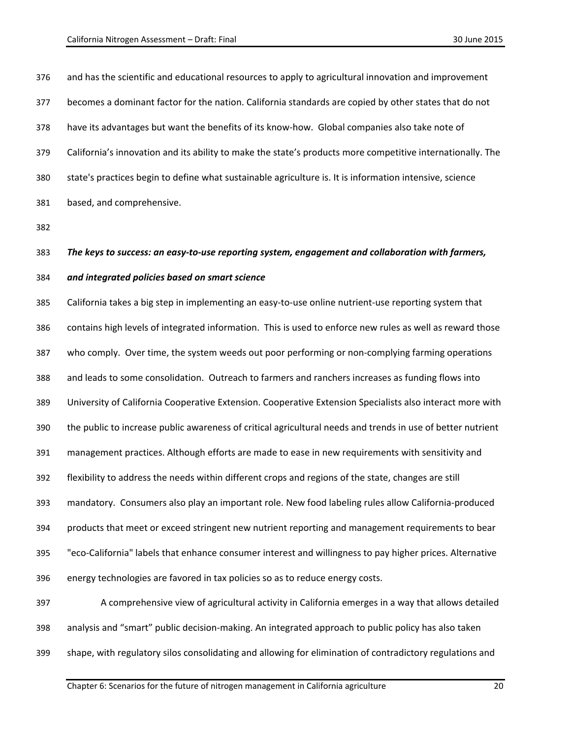and has the scientific and educational resources to apply to agricultural innovation and improvement becomes a dominant factor for the nation. California standards are copied by other states that do not have its advantages but want the benefits of its know-how. Global companies also take note of California's innovation and its ability to make the state's products more competitive internationally. The state's practices begin to define what sustainable agriculture is. It is information intensive, science based, and comprehensive. *The keys to success: an easy-to-use reporting system, engagement and collaboration with farmers, and integrated policies based on smart science* California takes a big step in implementing an easy-to-use online nutrient-use reporting system that contains high levels of integrated information. This is used to enforce new rules as well as reward those who comply. Over time, the system weeds out poor performing or non-complying farming operations and leads to some consolidation. Outreach to farmers and ranchers increases as funding flows into University of California Cooperative Extension. Cooperative Extension Specialists also interact more with the public to increase public awareness of critical agricultural needs and trends in use of better nutrient management practices. Although efforts are made to ease in new requirements with sensitivity and flexibility to address the needs within different crops and regions of the state, changes are still mandatory. Consumers also play an important role. New food labeling rules allow California-produced products that meet or exceed stringent new nutrient reporting and management requirements to bear "eco-California" labels that enhance consumer interest and willingness to pay higher prices. Alternative energy technologies are favored in tax policies so as to reduce energy costs. A comprehensive view of agricultural activity in California emerges in a way that allows detailed analysis and "smart" public decision-making. An integrated approach to public policy has also taken shape, with regulatory silos consolidating and allowing for elimination of contradictory regulations and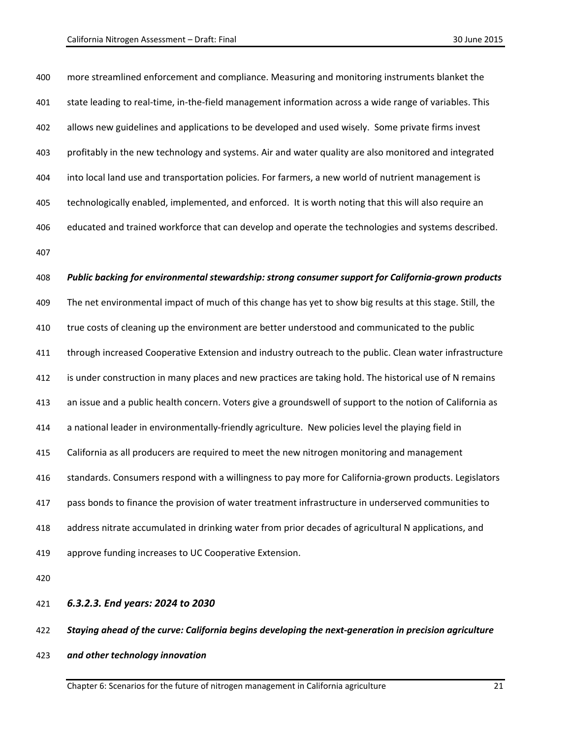| 400 | more streamlined enforcement and compliance. Measuring and monitoring instruments blanket the             |
|-----|-----------------------------------------------------------------------------------------------------------|
| 401 | state leading to real-time, in-the-field management information across a wide range of variables. This    |
| 402 | allows new guidelines and applications to be developed and used wisely. Some private firms invest         |
| 403 | profitably in the new technology and systems. Air and water quality are also monitored and integrated     |
| 404 | into local land use and transportation policies. For farmers, a new world of nutrient management is       |
| 405 | technologically enabled, implemented, and enforced. It is worth noting that this will also require an     |
| 406 | educated and trained workforce that can develop and operate the technologies and systems described.       |
| 407 |                                                                                                           |
| 408 | Public backing for environmental stewardship: strong consumer support for California-grown products       |
| 409 | The net environmental impact of much of this change has yet to show big results at this stage. Still, the |
| 410 | true costs of cleaning up the environment are better understood and communicated to the public            |
| 411 | through increased Cooperative Extension and industry outreach to the public. Clean water infrastructure   |
| 412 | is under construction in many places and new practices are taking hold. The historical use of N remains   |
| 413 | an issue and a public health concern. Voters give a groundswell of support to the notion of California as |
| 414 | a national leader in environmentally-friendly agriculture. New policies level the playing field in        |
| 415 | California as all producers are required to meet the new nitrogen monitoring and management               |
| 416 | standards. Consumers respond with a willingness to pay more for California-grown products. Legislators    |
| 417 | pass bonds to finance the provision of water treatment infrastructure in underserved communities to       |
| 418 | address nitrate accumulated in drinking water from prior decades of agricultural N applications, and      |
| 419 | approve funding increases to UC Cooperative Extension.                                                    |
| 420 |                                                                                                           |
| 421 | 6.3.2.3. End years: 2024 to 2030                                                                          |

*Staying ahead of the curve: California begins developing the next-generation in precision agriculture*

*and other technology innovation*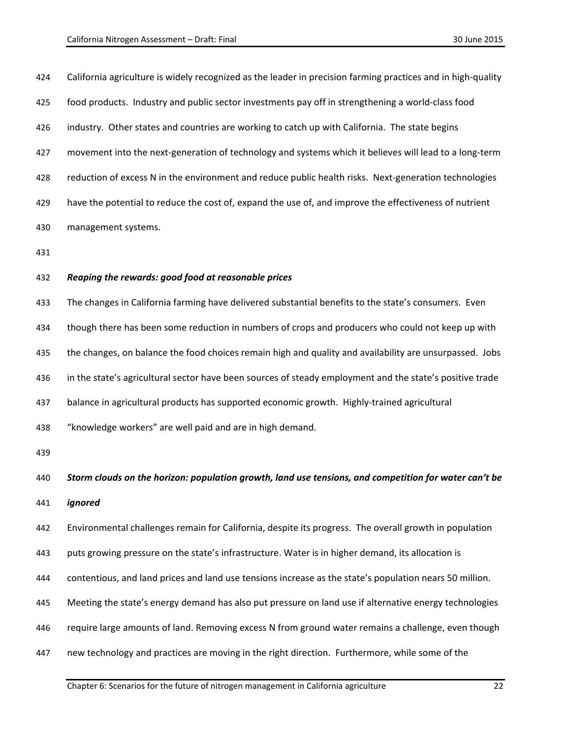| 424 | California agriculture is widely recognized as the leader in precision farming practices and in high-quality |
|-----|--------------------------------------------------------------------------------------------------------------|
| 425 | food products. Industry and public sector investments pay off in strengthening a world-class food            |
| 426 | industry. Other states and countries are working to catch up with California. The state begins               |
| 427 | movement into the next-generation of technology and systems which it believes will lead to a long-term       |
| 428 | reduction of excess N in the environment and reduce public health risks. Next-generation technologies        |
| 429 | have the potential to reduce the cost of, expand the use of, and improve the effectiveness of nutrient       |
| 430 | management systems.                                                                                          |
| 431 |                                                                                                              |
| 432 | Reaping the rewards: good food at reasonable prices                                                          |
| 433 | The changes in California farming have delivered substantial benefits to the state's consumers. Even         |
| 434 | though there has been some reduction in numbers of crops and producers who could not keep up with            |
| 435 | the changes, on balance the food choices remain high and quality and availability are unsurpassed. Jobs      |
| 436 | in the state's agricultural sector have been sources of steady employment and the state's positive trade     |
| 437 | balance in agricultural products has supported economic growth. Highly-trained agricultural                  |
| 438 | "knowledge workers" are well paid and are in high demand.                                                    |
| 439 |                                                                                                              |
| 440 | Storm clouds on the horizon: population growth, land use tensions, and competition for water can't be        |
| 441 | ignored                                                                                                      |
| 442 | Environmental challenges remain for California, despite its progress. The overall growth in population       |
| 443 | puts growing pressure on the state's infrastructure. Water is in higher demand, its allocation is            |
| 444 | contentious, and land prices and land use tensions increase as the state's population nears 50 million.      |
| 445 | Meeting the state's energy demand has also put pressure on land use if alternative energy technologies       |
| 446 | require large amounts of land. Removing excess N from ground water remains a challenge, even though          |
| 447 | new technology and practices are moving in the right direction. Furthermore, while some of the               |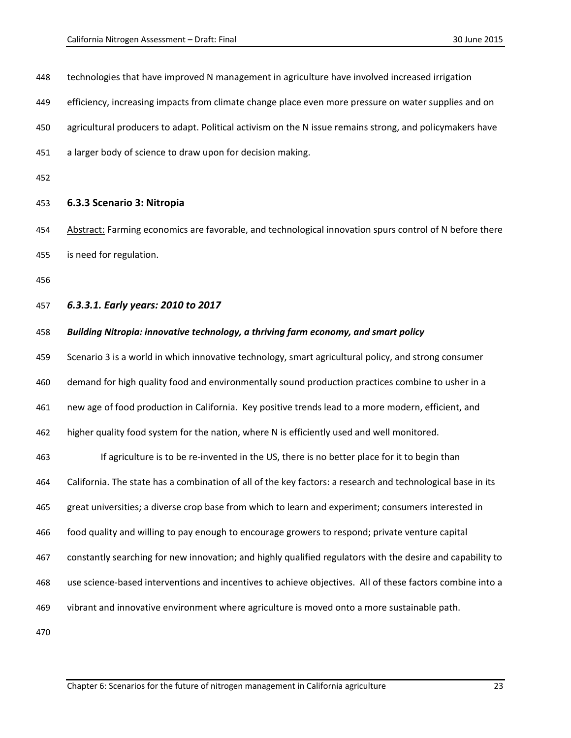| 448 | technologies that have improved N management in agriculture have involved increased irrigation              |
|-----|-------------------------------------------------------------------------------------------------------------|
| 449 | efficiency, increasing impacts from climate change place even more pressure on water supplies and on        |
| 450 | agricultural producers to adapt. Political activism on the N issue remains strong, and policymakers have    |
| 451 | a larger body of science to draw upon for decision making.                                                  |
| 452 |                                                                                                             |
| 453 | 6.3.3 Scenario 3: Nitropia                                                                                  |
| 454 | Abstract: Farming economics are favorable, and technological innovation spurs control of N before there     |
| 455 | is need for regulation.                                                                                     |
| 456 |                                                                                                             |
| 457 | 6.3.3.1. Early years: 2010 to 2017                                                                          |
| 458 | Building Nitropia: innovative technology, a thriving farm economy, and smart policy                         |
| 459 | Scenario 3 is a world in which innovative technology, smart agricultural policy, and strong consumer        |
| 460 | demand for high quality food and environmentally sound production practices combine to usher in a           |
| 461 | new age of food production in California. Key positive trends lead to a more modern, efficient, and         |
| 462 | higher quality food system for the nation, where N is efficiently used and well monitored.                  |
| 463 | If agriculture is to be re-invented in the US, there is no better place for it to begin than                |
| 464 | California. The state has a combination of all of the key factors: a research and technological base in its |
| 465 | great universities; a diverse crop base from which to learn and experiment; consumers interested in         |
| 466 | food quality and willing to pay enough to encourage growers to respond; private venture capital             |
| 467 | constantly searching for new innovation; and highly qualified regulators with the desire and capability to  |
| 468 | use science-based interventions and incentives to achieve objectives. All of these factors combine into a   |
| 469 | vibrant and innovative environment where agriculture is moved onto a more sustainable path.                 |
| 470 |                                                                                                             |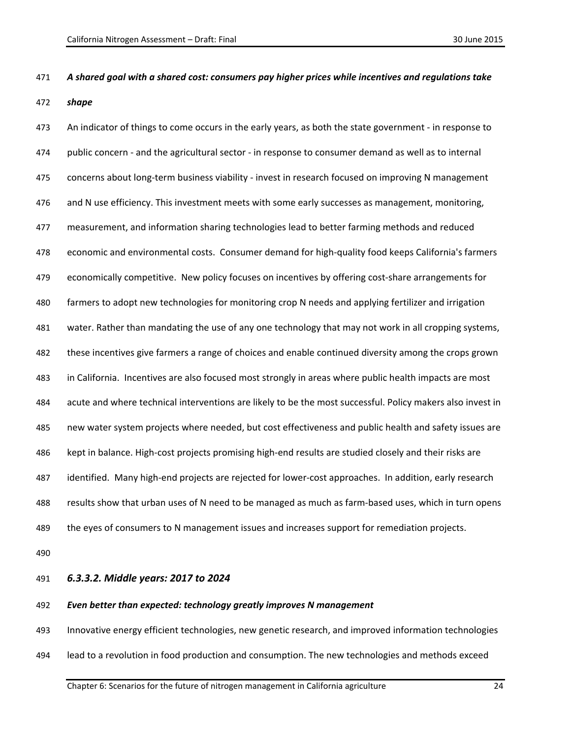# *A shared goal with a shared cost: consumers pay higher prices while incentives and regulations take shape*

 An indicator of things to come occurs in the early years, as both the state government - in response to public concern - and the agricultural sector - in response to consumer demand as well as to internal concerns about long-term business viability - invest in research focused on improving N management 476 and N use efficiency. This investment meets with some early successes as management, monitoring, measurement, and information sharing technologies lead to better farming methods and reduced economic and environmental costs. Consumer demand for high-quality food keeps California's farmers economically competitive. New policy focuses on incentives by offering cost-share arrangements for farmers to adopt new technologies for monitoring crop N needs and applying fertilizer and irrigation water. Rather than mandating the use of any one technology that may not work in all cropping systems, these incentives give farmers a range of choices and enable continued diversity among the crops grown in California. Incentives are also focused most strongly in areas where public health impacts are most acute and where technical interventions are likely to be the most successful. Policy makers also invest in new water system projects where needed, but cost effectiveness and public health and safety issues are kept in balance. High-cost projects promising high-end results are studied closely and their risks are identified. Many high-end projects are rejected for lower-cost approaches. In addition, early research results show that urban uses of N need to be managed as much as farm-based uses, which in turn opens the eyes of consumers to N management issues and increases support for remediation projects.

#### *6.3.3.2. Middle years: 2017 to 2024*

#### *Even better than expected: technology greatly improves N management*

Innovative energy efficient technologies, new genetic research, and improved information technologies

lead to a revolution in food production and consumption. The new technologies and methods exceed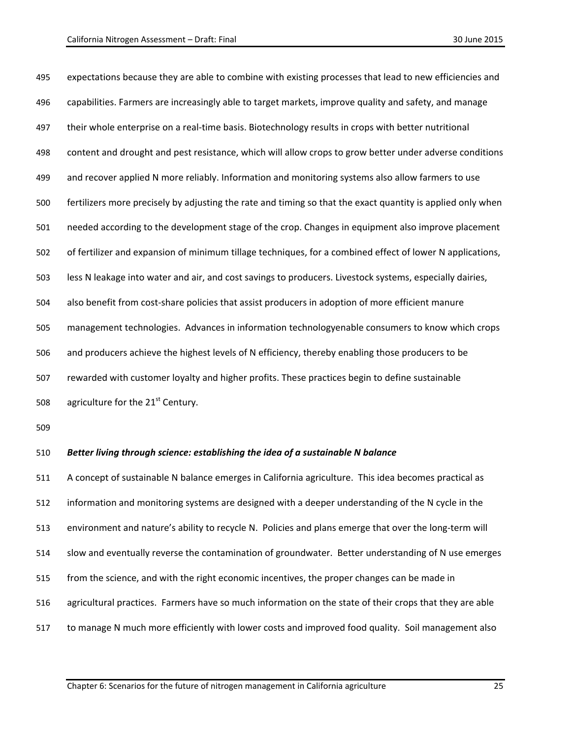expectations because they are able to combine with existing processes that lead to new efficiencies and capabilities. Farmers are increasingly able to target markets, improve quality and safety, and manage their whole enterprise on a real-time basis. Biotechnology results in crops with better nutritional content and drought and pest resistance, which will allow crops to grow better under adverse conditions and recover applied N more reliably. Information and monitoring systems also allow farmers to use fertilizers more precisely by adjusting the rate and timing so that the exact quantity is applied only when needed according to the development stage of the crop. Changes in equipment also improve placement of fertilizer and expansion of minimum tillage techniques, for a combined effect of lower N applications, less N leakage into water and air, and cost savings to producers. Livestock systems, especially dairies, also benefit from cost-share policies that assist producers in adoption of more efficient manure management technologies. Advances in information technologyenable consumers to know which crops and producers achieve the highest levels of N efficiency, thereby enabling those producers to be rewarded with customer loyalty and higher profits. These practices begin to define sustainable 508 agriculture for the  $21<sup>st</sup>$  Century.

#### *Better living through science: establishing the idea of a sustainable N balance*

 A concept of sustainable N balance emerges in California agriculture. This idea becomes practical as information and monitoring systems are designed with a deeper understanding of the N cycle in the environment and nature's ability to recycle N. Policies and plans emerge that over the long-term will slow and eventually reverse the contamination of groundwater. Better understanding of N use emerges from the science, and with the right economic incentives, the proper changes can be made in agricultural practices. Farmers have so much information on the state of their crops that they are able to manage N much more efficiently with lower costs and improved food quality. Soil management also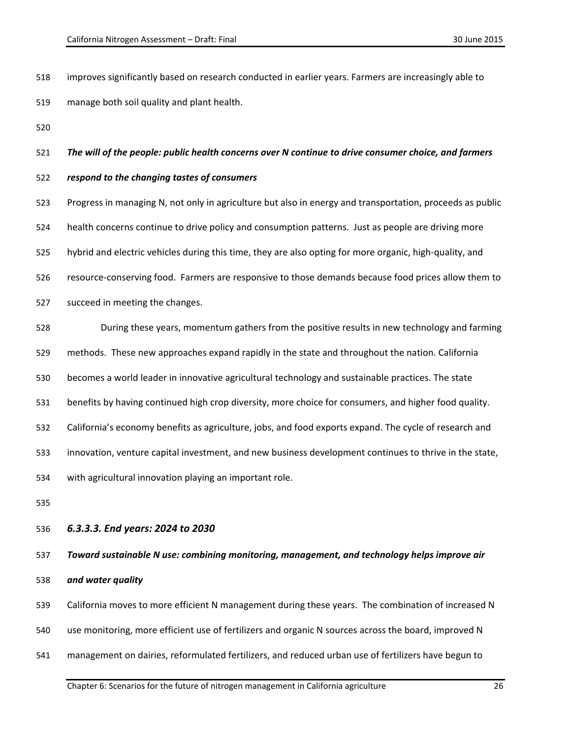- improves significantly based on research conducted in earlier years. Farmers are increasingly able to manage both soil quality and plant health.
- 

#### *The will of the people: public health concerns over N continue to drive consumer choice, and farmers*

*respond to the changing tastes of consumers*

 Progress in managing N, not only in agriculture but also in energy and transportation, proceeds as public health concerns continue to drive policy and consumption patterns. Just as people are driving more hybrid and electric vehicles during this time, they are also opting for more organic, high-quality, and resource-conserving food. Farmers are responsive to those demands because food prices allow them to succeed in meeting the changes.

 During these years, momentum gathers from the positive results in new technology and farming methods. These new approaches expand rapidly in the state and throughout the nation. California becomes a world leader in innovative agricultural technology and sustainable practices. The state benefits by having continued high crop diversity, more choice for consumers, and higher food quality. California's economy benefits as agriculture, jobs, and food exports expand. The cycle of research and innovation, venture capital investment, and new business development continues to thrive in the state, with agricultural innovation playing an important role.

#### *6.3.3.3. End years: 2024 to 2030*

 *Toward sustainable N use: combining monitoring, management, and technology helps improve air and water quality*

 California moves to more efficient N management during these years. The combination of increased N use monitoring, more efficient use of fertilizers and organic N sources across the board, improved N management on dairies, reformulated fertilizers, and reduced urban use of fertilizers have begun to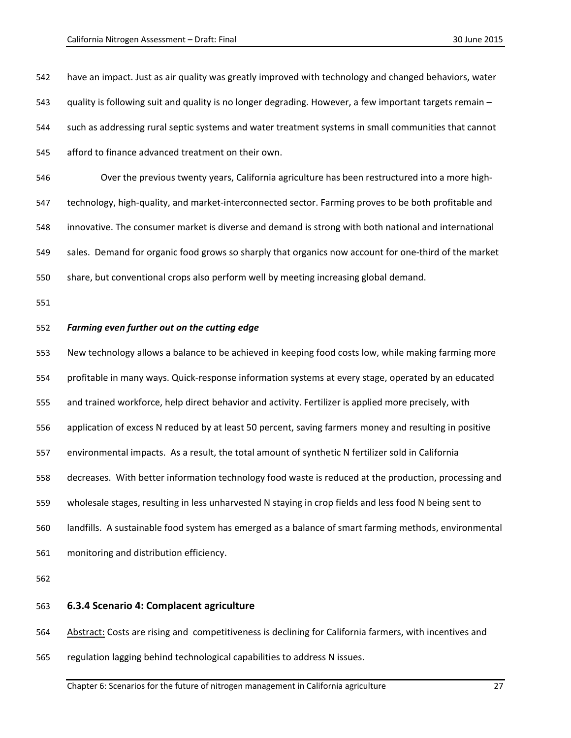have an impact. Just as air quality was greatly improved with technology and changed behaviors, water quality is following suit and quality is no longer degrading. However, a few important targets remain – such as addressing rural septic systems and water treatment systems in small communities that cannot afford to finance advanced treatment on their own.

 Over the previous twenty years, California agriculture has been restructured into a more high- technology, high-quality, and market-interconnected sector. Farming proves to be both profitable and innovative. The consumer market is diverse and demand is strong with both national and international sales. Demand for organic food grows so sharply that organics now account for one-third of the market share, but conventional crops also perform well by meeting increasing global demand.

#### *Farming even further out on the cutting edge*

 New technology allows a balance to be achieved in keeping food costs low, while making farming more profitable in many ways. Quick-response information systems at every stage, operated by an educated and trained workforce, help direct behavior and activity. Fertilizer is applied more precisely, with application of excess N reduced by at least 50 percent, saving farmers money and resulting in positive environmental impacts. As a result, the total amount of synthetic N fertilizer sold in California decreases. With better information technology food waste is reduced at the production, processing and wholesale stages, resulting in less unharvested N staying in crop fields and less food N being sent to landfills. A sustainable food system has emerged as a balance of smart farming methods, environmental monitoring and distribution efficiency.

#### **6.3.4 Scenario 4: Complacent agriculture**

Abstract: Costs are rising and competitiveness is declining for California farmers, with incentives and

regulation lagging behind technological capabilities to address N issues.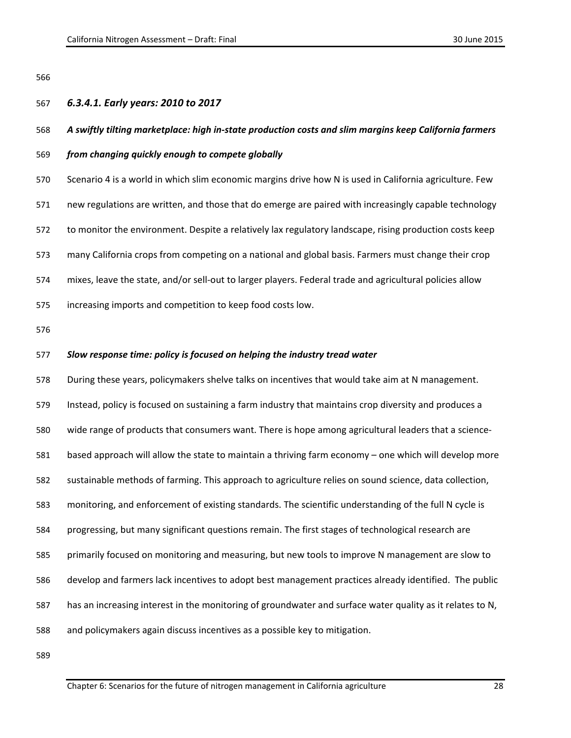| × | I<br>۰. | ×<br>I<br>ł<br>× |
|---|---------|------------------|
|   |         |                  |

#### *6.3.4.1. Early years: 2010 to 2017*

#### *A swiftly tilting marketplace: high in-state production costs and slim margins keep California farmers*

*from changing quickly enough to compete globally*

Scenario 4 is a world in which slim economic margins drive how N is used in California agriculture. Few

new regulations are written, and those that do emerge are paired with increasingly capable technology

to monitor the environment. Despite a relatively lax regulatory landscape, rising production costs keep

many California crops from competing on a national and global basis. Farmers must change their crop

mixes, leave the state, and/or sell-out to larger players. Federal trade and agricultural policies allow

increasing imports and competition to keep food costs low.

#### *Slow response time: policy is focused on helping the industry tread water*

 During these years, policymakers shelve talks on incentives that would take aim at N management. Instead, policy is focused on sustaining a farm industry that maintains crop diversity and produces a wide range of products that consumers want. There is hope among agricultural leaders that a science- based approach will allow the state to maintain a thriving farm economy – one which will develop more sustainable methods of farming. This approach to agriculture relies on sound science, data collection, monitoring, and enforcement of existing standards. The scientific understanding of the full N cycle is progressing, but many significant questions remain. The first stages of technological research are primarily focused on monitoring and measuring, but new tools to improve N management are slow to develop and farmers lack incentives to adopt best management practices already identified. The public has an increasing interest in the monitoring of groundwater and surface water quality as it relates to N, and policymakers again discuss incentives as a possible key to mitigation.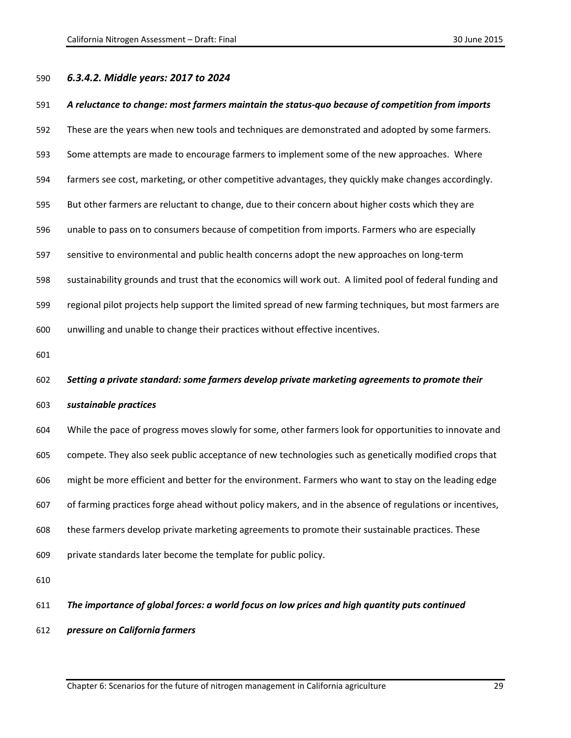#### *6.3.4.2. Middle years: 2017 to 2024*

#### *A reluctance to change: most farmers maintain the status-quo because of competition from imports*

These are the years when new tools and techniques are demonstrated and adopted by some farmers.

Some attempts are made to encourage farmers to implement some of the new approaches. Where

farmers see cost, marketing, or other competitive advantages, they quickly make changes accordingly.

But other farmers are reluctant to change, due to their concern about higher costs which they are

unable to pass on to consumers because of competition from imports. Farmers who are especially

sensitive to environmental and public health concerns adopt the new approaches on long-term

sustainability grounds and trust that the economics will work out. A limited pool of federal funding and

regional pilot projects help support the limited spread of new farming techniques, but most farmers are

unwilling and unable to change their practices without effective incentives.

*Setting a private standard: some farmers develop private marketing agreements to promote their* 

#### *sustainable practices*

 While the pace of progress moves slowly for some, other farmers look for opportunities to innovate and compete. They also seek public acceptance of new technologies such as genetically modified crops that might be more efficient and better for the environment. Farmers who want to stay on the leading edge of farming practices forge ahead without policy makers, and in the absence of regulations or incentives, these farmers develop private marketing agreements to promote their sustainable practices. These private standards later become the template for public policy.

#### *The importance of global forces: a world focus on low prices and high quantity puts continued*

*pressure on California farmers*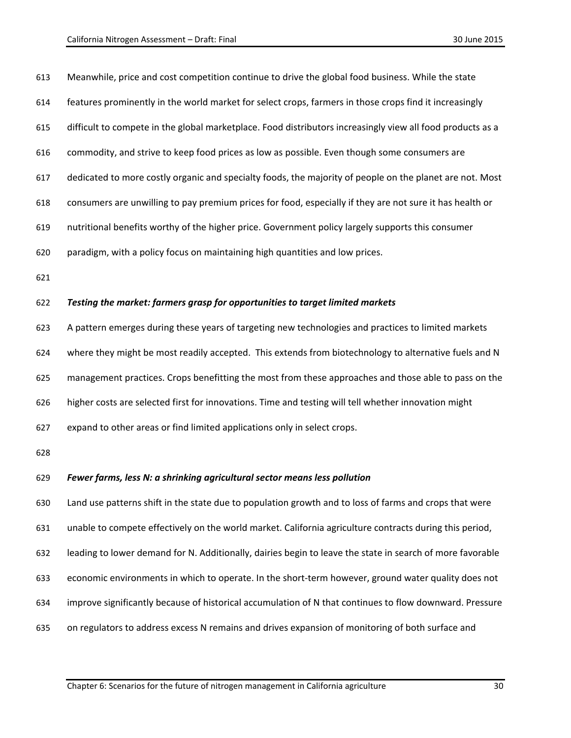| 613 | Meanwhile, price and cost competition continue to drive the global food business. While the state          |
|-----|------------------------------------------------------------------------------------------------------------|
| 614 | features prominently in the world market for select crops, farmers in those crops find it increasingly     |
| 615 | difficult to compete in the global marketplace. Food distributors increasingly view all food products as a |
| 616 | commodity, and strive to keep food prices as low as possible. Even though some consumers are               |
| 617 | dedicated to more costly organic and specialty foods, the majority of people on the planet are not. Most   |
| 618 | consumers are unwilling to pay premium prices for food, especially if they are not sure it has health or   |
| 619 | nutritional benefits worthy of the higher price. Government policy largely supports this consumer          |
| 620 | paradigm, with a policy focus on maintaining high quantities and low prices.                               |
| 621 |                                                                                                            |
| 622 | Testing the market: farmers grasp for opportunities to target limited markets                              |
| 623 | A pattern emerges during these years of targeting new technologies and practices to limited markets        |
| 624 | where they might be most readily accepted. This extends from biotechnology to alternative fuels and N      |
| 625 | management practices. Crops benefitting the most from these approaches and those able to pass on the       |
| 626 | higher costs are selected first for innovations. Time and testing will tell whether innovation might       |
| 627 | expand to other areas or find limited applications only in select crops.                                   |
| 628 |                                                                                                            |
| 629 | Fewer farms, less N: a shrinking agricultural sector means less pollution                                  |
| 630 | Land use patterns shift in the state due to population growth and to loss of farms and crops that were     |
| 631 | unable to compete effectively on the world market. California agriculture contracts during this period,    |
| 632 | leading to lower demand for N. Additionally, dairies begin to leave the state in search of more favorable  |
| 633 | economic environments in which to operate. In the short-term however, ground water quality does not        |
| 634 | improve significantly because of historical accumulation of N that continues to flow downward. Pressure    |
| 635 | on regulators to address excess N remains and drives expansion of monitoring of both surface and           |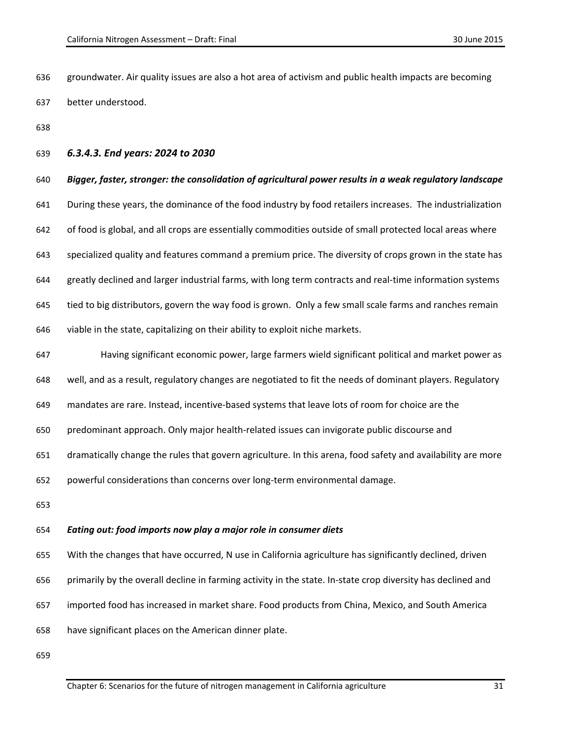- groundwater. Air quality issues are also a hot area of activism and public health impacts are becoming better understood.
- 

#### *6.3.4.3. End years: 2024 to 2030*

#### *Bigger, faster, stronger: the consolidation of agricultural power results in a weak regulatory landscape*

 During these years, the dominance of the food industry by food retailers increases. The industrialization of food is global, and all crops are essentially commodities outside of small protected local areas where

specialized quality and features command a premium price. The diversity of crops grown in the state has

greatly declined and larger industrial farms, with long term contracts and real-time information systems

- tied to big distributors, govern the way food is grown. Only a few small scale farms and ranches remain
- viable in the state, capitalizing on their ability to exploit niche markets.
- Having significant economic power, large farmers wield significant political and market power as
- well, and as a result, regulatory changes are negotiated to fit the needs of dominant players. Regulatory
- mandates are rare. Instead, incentive-based systems that leave lots of room for choice are the
- predominant approach. Only major health-related issues can invigorate public discourse and
- dramatically change the rules that govern agriculture. In this arena, food safety and availability are more
- powerful considerations than concerns over long-term environmental damage.
- 

#### *Eating out: food imports now play a major role in consumer diets*

 With the changes that have occurred, N use in California agriculture has significantly declined, driven primarily by the overall decline in farming activity in the state. In-state crop diversity has declined and imported food has increased in market share. Food products from China, Mexico, and South America have significant places on the American dinner plate.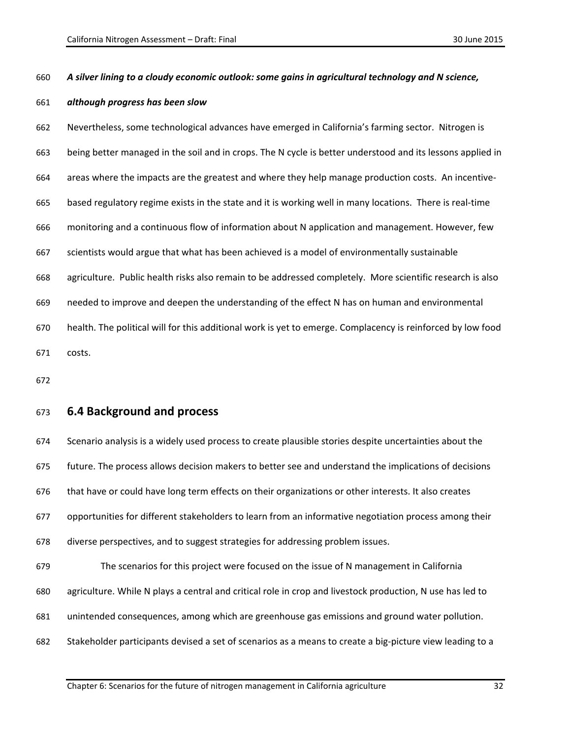#### *A silver lining to a cloudy economic outlook: some gains in agricultural technology and N science,*

#### *although progress has been slow*

 Nevertheless, some technological advances have emerged in California's farming sector. Nitrogen is being better managed in the soil and in crops. The N cycle is better understood and its lessons applied in areas where the impacts are the greatest and where they help manage production costs. An incentive- based regulatory regime exists in the state and it is working well in many locations. There is real-time monitoring and a continuous flow of information about N application and management. However, few scientists would argue that what has been achieved is a model of environmentally sustainable agriculture. Public health risks also remain to be addressed completely. More scientific research is also needed to improve and deepen the understanding of the effect N has on human and environmental health. The political will for this additional work is yet to emerge. Complacency is reinforced by low food costs.

#### **6.4 Background and process**

 Scenario analysis is a widely used process to create plausible stories despite uncertainties about the future. The process allows decision makers to better see and understand the implications of decisions that have or could have long term effects on their organizations or other interests. It also creates opportunities for different stakeholders to learn from an informative negotiation process among their diverse perspectives, and to suggest strategies for addressing problem issues. The scenarios for this project were focused on the issue of N management in California agriculture. While N plays a central and critical role in crop and livestock production, N use has led to unintended consequences, among which are greenhouse gas emissions and ground water pollution. Stakeholder participants devised a set of scenarios as a means to create a big-picture view leading to a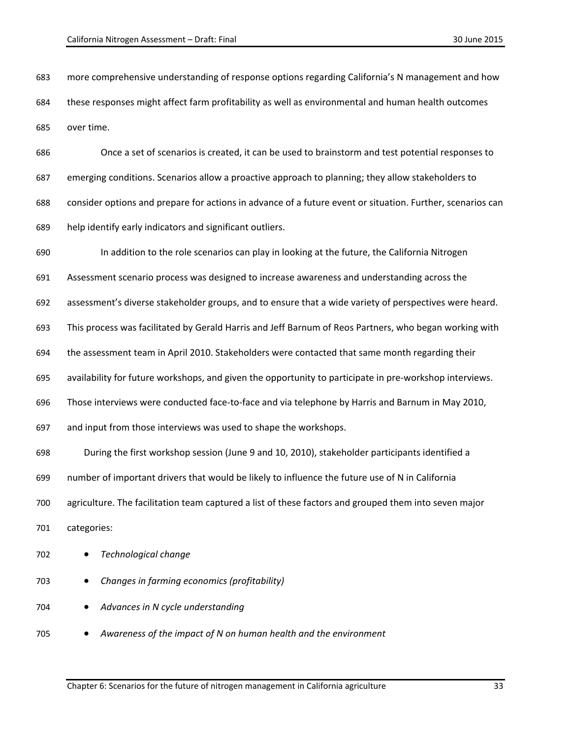- more comprehensive understanding of response options regarding California's N management and how these responses might affect farm profitability as well as environmental and human health outcomes over time.
- Once a set of scenarios is created, it can be used to brainstorm and test potential responses to emerging conditions. Scenarios allow a proactive approach to planning; they allow stakeholders to consider options and prepare for actions in advance of a future event or situation. Further, scenarios can help identify early indicators and significant outliers.
- In addition to the role scenarios can play in looking at the future, the California Nitrogen
- Assessment scenario process was designed to increase awareness and understanding across the
- assessment's diverse stakeholder groups, and to ensure that a wide variety of perspectives were heard.
- This process was facilitated by Gerald Harris and Jeff Barnum of Reos Partners, who began working with
- the assessment team in April 2010. Stakeholders were contacted that same month regarding their
- availability for future workshops, and given the opportunity to participate in pre-workshop interviews.
- Those interviews were conducted face-to-face and via telephone by Harris and Barnum in May 2010,
- and input from those interviews was used to shape the workshops.
- During the first workshop session (June 9 and 10, 2010), stakeholder participants identified a
- number of important drivers that would be likely to influence the future use of N in California
- agriculture. The facilitation team captured a list of these factors and grouped them into seven major
- categories:
- *Technological change*
- *Changes in farming economics (profitability)*
- *Advances in N cycle understanding*
- *Awareness of the impact of N on human health and the environment*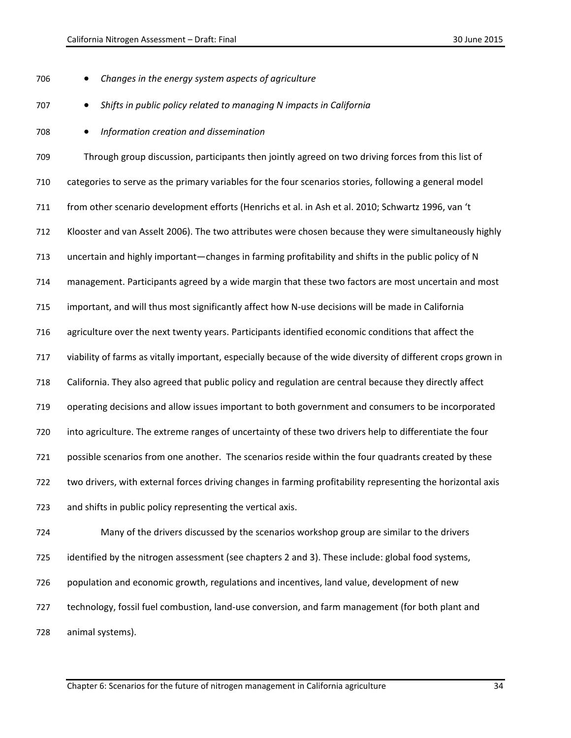| 706 | Changes in the energy system aspects of agriculture                                                           |
|-----|---------------------------------------------------------------------------------------------------------------|
| 707 | Shifts in public policy related to managing N impacts in California<br>$\bullet$                              |
| 708 | Information creation and dissemination<br>$\bullet$                                                           |
| 709 | Through group discussion, participants then jointly agreed on two driving forces from this list of            |
| 710 | categories to serve as the primary variables for the four scenarios stories, following a general model        |
| 711 | from other scenario development efforts (Henrichs et al. in Ash et al. 2010; Schwartz 1996, van 't            |
| 712 | Klooster and van Asselt 2006). The two attributes were chosen because they were simultaneously highly         |
| 713 | uncertain and highly important—changes in farming profitability and shifts in the public policy of N          |
| 714 | management. Participants agreed by a wide margin that these two factors are most uncertain and most           |
| 715 | important, and will thus most significantly affect how N-use decisions will be made in California             |
| 716 | agriculture over the next twenty years. Participants identified economic conditions that affect the           |
| 717 | viability of farms as vitally important, especially because of the wide diversity of different crops grown in |
| 718 | California. They also agreed that public policy and regulation are central because they directly affect       |
| 719 | operating decisions and allow issues important to both government and consumers to be incorporated            |
| 720 | into agriculture. The extreme ranges of uncertainty of these two drivers help to differentiate the four       |
| 721 | possible scenarios from one another. The scenarios reside within the four quadrants created by these          |
| 722 | two drivers, with external forces driving changes in farming profitability representing the horizontal axis   |
| 723 | and shifts in public policy representing the vertical axis.                                                   |
| 724 | Many of the drivers discussed by the scenarios workshop group are similar to the drivers                      |
| 725 | identified by the nitrogen assessment (see chapters 2 and 3). These include: global food systems,             |
| 726 | population and economic growth, regulations and incentives, land value, development of new                    |
| 727 | technology, fossil fuel combustion, land-use conversion, and farm management (for both plant and              |
| 728 | animal systems).                                                                                              |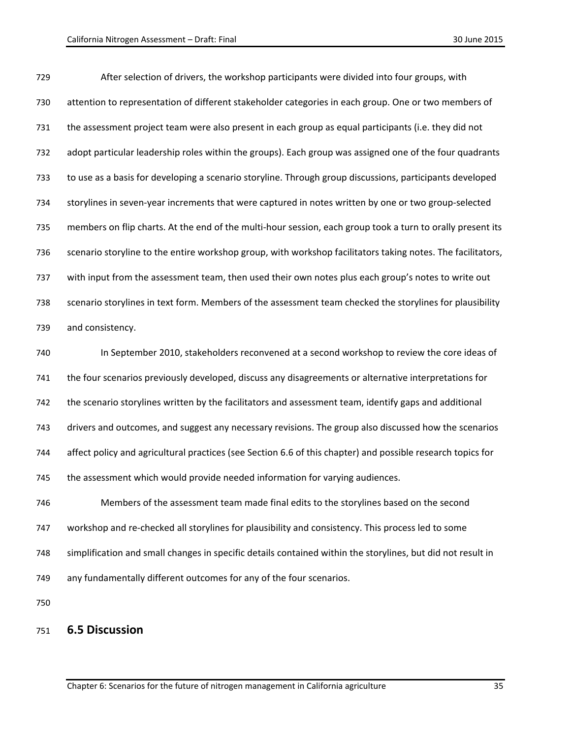| 729 | After selection of drivers, the workshop participants were divided into four groups, with                   |
|-----|-------------------------------------------------------------------------------------------------------------|
| 730 | attention to representation of different stakeholder categories in each group. One or two members of        |
| 731 | the assessment project team were also present in each group as equal participants (i.e. they did not        |
| 732 | adopt particular leadership roles within the groups). Each group was assigned one of the four quadrants     |
| 733 | to use as a basis for developing a scenario storyline. Through group discussions, participants developed    |
| 734 | storylines in seven-year increments that were captured in notes written by one or two group-selected        |
| 735 | members on flip charts. At the end of the multi-hour session, each group took a turn to orally present its  |
| 736 | scenario storyline to the entire workshop group, with workshop facilitators taking notes. The facilitators, |
| 737 | with input from the assessment team, then used their own notes plus each group's notes to write out         |
| 738 | scenario storylines in text form. Members of the assessment team checked the storylines for plausibility    |
| 739 | and consistency.                                                                                            |
| 740 | In September 2010, stakeholders reconvened at a second workshop to review the core ideas of                 |
| 741 | the four scenarios previously developed, discuss any disagreements or alternative interpretations for       |
| 742 | the scenario storylines written by the facilitators and assessment team, identify gaps and additional       |
| 743 | drivers and outcomes, and suggest any necessary revisions. The group also discussed how the scenarios       |
| 744 | affect policy and agricultural practices (see Section 6.6 of this chapter) and possible research topics for |
| 745 | the assessment which would provide needed information for varying audiences.                                |
| 746 | Members of the assessment team made final edits to the storylines based on the second                       |
| 747 | workshop and re-checked all storylines for plausibility and consistency. This process led to some           |
| 748 | simplification and small changes in specific details contained within the storylines, but did not result in |
| 749 | any fundamentally different outcomes for any of the four scenarios.                                         |
|     |                                                                                                             |

# **6.5 Discussion**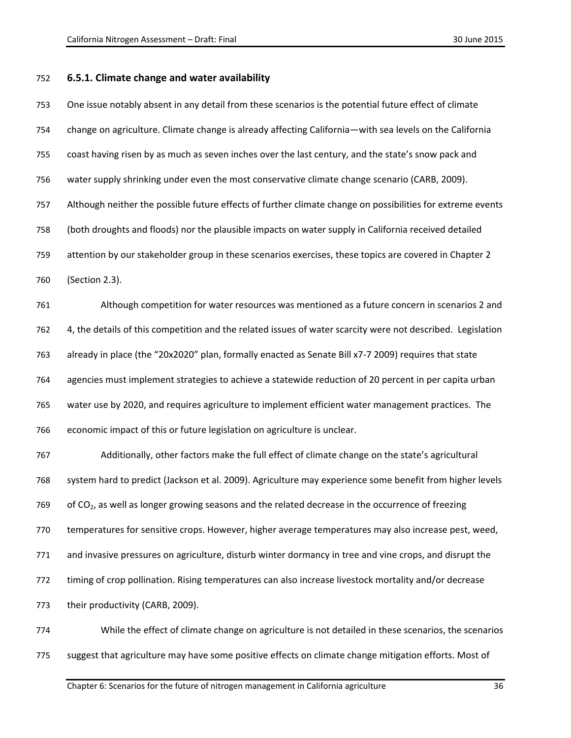#### **6.5.1. Climate change and water availability**

 One issue notably absent in any detail from these scenarios is the potential future effect of climate change on agriculture. Climate change is already affecting California—with sea levels on the California coast having risen by as much as seven inches over the last century, and the state's snow pack and water supply shrinking under even the most conservative climate change scenario (CARB, 2009). Although neither the possible future effects of further climate change on possibilities for extreme events (both droughts and floods) nor the plausible impacts on water supply in California received detailed attention by our stakeholder group in these scenarios exercises, these topics are covered in Chapter 2 (Section 2.3). Although competition for water resources was mentioned as a future concern in scenarios 2 and 4, the details of this competition and the related issues of water scarcity were not described. Legislation already in place (the "20x2020" plan, formally enacted as Senate Bill x7-7 2009) requires that state agencies must implement strategies to achieve a statewide reduction of 20 percent in per capita urban water use by 2020, and requires agriculture to implement efficient water management practices. The economic impact of this or future legislation on agriculture is unclear. Additionally, other factors make the full effect of climate change on the state's agricultural system hard to predict (Jackson et al. 2009). Agriculture may experience some benefit from higher levels 769 of  $CO<sub>2</sub>$ , as well as longer growing seasons and the related decrease in the occurrence of freezing temperatures for sensitive crops. However, higher average temperatures may also increase pest, weed, and invasive pressures on agriculture, disturb winter dormancy in tree and vine crops, and disrupt the timing of crop pollination. Rising temperatures can also increase livestock mortality and/or decrease their productivity (CARB, 2009).

 While the effect of climate change on agriculture is not detailed in these scenarios, the scenarios suggest that agriculture may have some positive effects on climate change mitigation efforts. Most of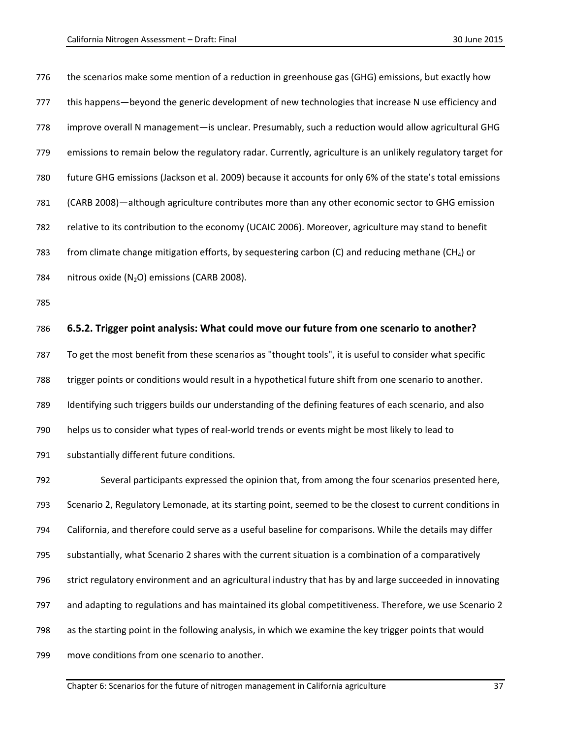the scenarios make some mention of a reduction in greenhouse gas (GHG) emissions, but exactly how this happens—beyond the generic development of new technologies that increase N use efficiency and improve overall N management—is unclear. Presumably, such a reduction would allow agricultural GHG emissions to remain below the regulatory radar. Currently, agriculture is an unlikely regulatory target for future GHG emissions (Jackson et al. 2009) because it accounts for only 6% of the state's total emissions (CARB 2008)—although agriculture contributes more than any other economic sector to GHG emission relative to its contribution to the economy (UCAIC 2006). Moreover, agriculture may stand to benefit 783 from climate change mitigation efforts, by sequestering carbon (C) and reducing methane (CH<sub>4</sub>) or 784 nitrous oxide  $(N_2O)$  emissions (CARB 2008).

#### **6.5.2. Trigger point analysis: What could move our future from one scenario to another?**

To get the most benefit from these scenarios as "thought tools", it is useful to consider what specific

trigger points or conditions would result in a hypothetical future shift from one scenario to another.

Identifying such triggers builds our understanding of the defining features of each scenario, and also

helps us to consider what types of real-world trends or events might be most likely to lead to

substantially different future conditions.

 Several participants expressed the opinion that, from among the four scenarios presented here, Scenario 2, Regulatory Lemonade, at its starting point, seemed to be the closest to current conditions in California, and therefore could serve as a useful baseline for comparisons. While the details may differ substantially, what Scenario 2 shares with the current situation is a combination of a comparatively strict regulatory environment and an agricultural industry that has by and large succeeded in innovating and adapting to regulations and has maintained its global competitiveness. Therefore, we use Scenario 2 as the starting point in the following analysis, in which we examine the key trigger points that would move conditions from one scenario to another.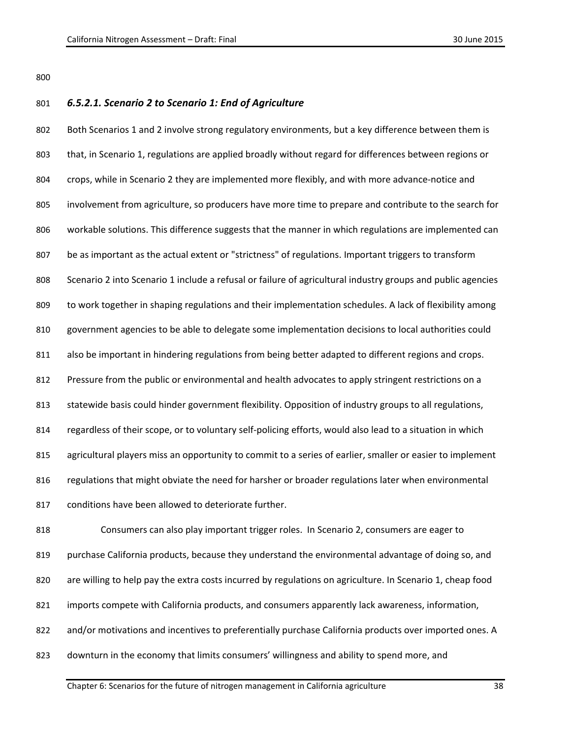*6.5.2.1. Scenario 2 to Scenario 1: End of Agriculture*

 Both Scenarios 1 and 2 involve strong regulatory environments, but a key difference between them is that, in Scenario 1, regulations are applied broadly without regard for differences between regions or crops, while in Scenario 2 they are implemented more flexibly, and with more advance-notice and involvement from agriculture, so producers have more time to prepare and contribute to the search for workable solutions. This difference suggests that the manner in which regulations are implemented can be as important as the actual extent or "strictness" of regulations. Important triggers to transform Scenario 2 into Scenario 1 include a refusal or failure of agricultural industry groups and public agencies to work together in shaping regulations and their implementation schedules. A lack of flexibility among government agencies to be able to delegate some implementation decisions to local authorities could 811 also be important in hindering regulations from being better adapted to different regions and crops. Pressure from the public or environmental and health advocates to apply stringent restrictions on a statewide basis could hinder government flexibility. Opposition of industry groups to all regulations, regardless of their scope, or to voluntary self-policing efforts, would also lead to a situation in which agricultural players miss an opportunity to commit to a series of earlier, smaller or easier to implement regulations that might obviate the need for harsher or broader regulations later when environmental conditions have been allowed to deteriorate further.

 Consumers can also play important trigger roles. In Scenario 2, consumers are eager to purchase California products, because they understand the environmental advantage of doing so, and are willing to help pay the extra costs incurred by regulations on agriculture. In Scenario 1, cheap food imports compete with California products, and consumers apparently lack awareness, information, 822 and/or motivations and incentives to preferentially purchase California products over imported ones. A downturn in the economy that limits consumers' willingness and ability to spend more, and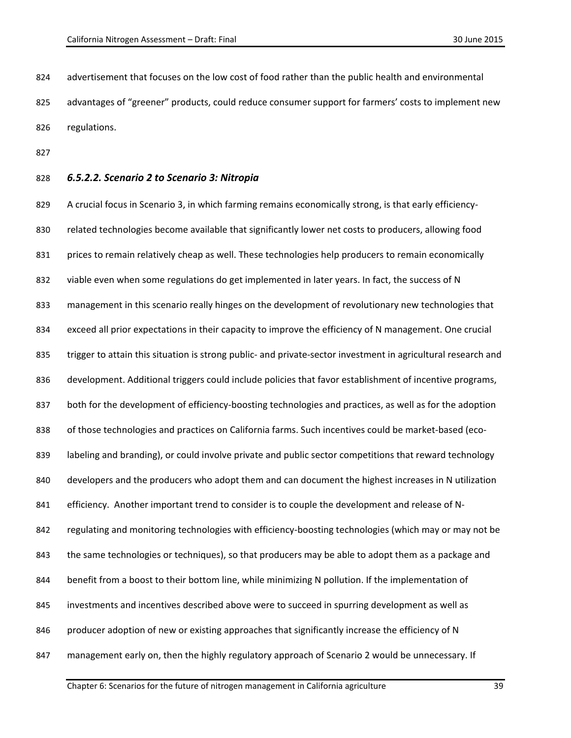advertisement that focuses on the low cost of food rather than the public health and environmental advantages of "greener" products, could reduce consumer support for farmers' costs to implement new regulations.

- 
- 

### *6.5.2.2. Scenario 2 to Scenario 3: Nitropia*

 A crucial focus in Scenario 3, in which farming remains economically strong, is that early efficiency- related technologies become available that significantly lower net costs to producers, allowing food prices to remain relatively cheap as well. These technologies help producers to remain economically viable even when some regulations do get implemented in later years. In fact, the success of N management in this scenario really hinges on the development of revolutionary new technologies that exceed all prior expectations in their capacity to improve the efficiency of N management. One crucial 835 trigger to attain this situation is strong public- and private-sector investment in agricultural research and development. Additional triggers could include policies that favor establishment of incentive programs, both for the development of efficiency-boosting technologies and practices, as well as for the adoption of those technologies and practices on California farms. Such incentives could be market-based (eco- labeling and branding), or could involve private and public sector competitions that reward technology developers and the producers who adopt them and can document the highest increases in N utilization efficiency. Another important trend to consider is to couple the development and release of N- regulating and monitoring technologies with efficiency-boosting technologies (which may or may not be the same technologies or techniques), so that producers may be able to adopt them as a package and benefit from a boost to their bottom line, while minimizing N pollution. If the implementation of investments and incentives described above were to succeed in spurring development as well as 846 producer adoption of new or existing approaches that significantly increase the efficiency of N management early on, then the highly regulatory approach of Scenario 2 would be unnecessary. If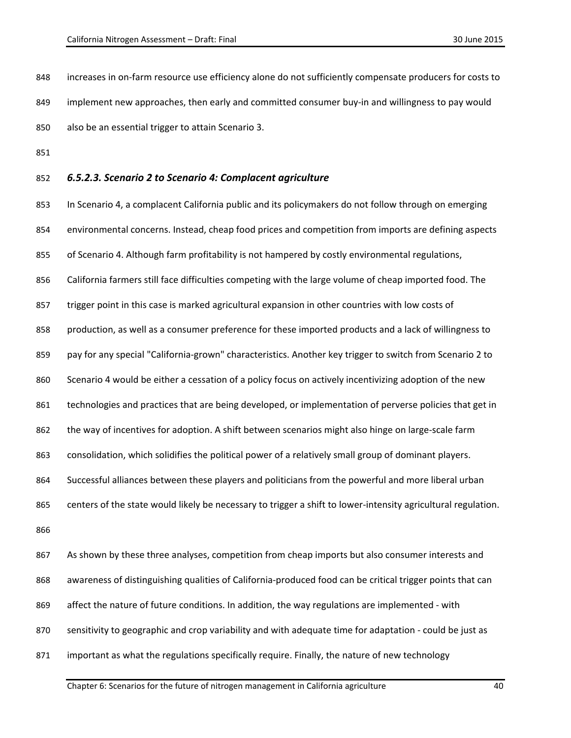increases in on-farm resource use efficiency alone do not sufficiently compensate producers for costs to implement new approaches, then early and committed consumer buy-in and willingness to pay would also be an essential trigger to attain Scenario 3.

# *6.5.2.3. Scenario 2 to Scenario 4: Complacent agriculture*

853 In Scenario 4, a complacent California public and its policymakers do not follow through on emerging environmental concerns. Instead, cheap food prices and competition from imports are defining aspects of Scenario 4. Although farm profitability is not hampered by costly environmental regulations, California farmers still face difficulties competing with the large volume of cheap imported food. The trigger point in this case is marked agricultural expansion in other countries with low costs of production, as well as a consumer preference for these imported products and a lack of willingness to pay for any special "California-grown" characteristics. Another key trigger to switch from Scenario 2 to Scenario 4 would be either a cessation of a policy focus on actively incentivizing adoption of the new technologies and practices that are being developed, or implementation of perverse policies that get in the way of incentives for adoption. A shift between scenarios might also hinge on large-scale farm consolidation, which solidifies the political power of a relatively small group of dominant players. Successful alliances between these players and politicians from the powerful and more liberal urban centers of the state would likely be necessary to trigger a shift to lower-intensity agricultural regulation. 

 As shown by these three analyses, competition from cheap imports but also consumer interests and awareness of distinguishing qualities of California-produced food can be critical trigger points that can affect the nature of future conditions. In addition, the way regulations are implemented - with sensitivity to geographic and crop variability and with adequate time for adaptation - could be just as 871 important as what the regulations specifically require. Finally, the nature of new technology

Chapter 6: Scenarios for the future of nitrogen management in California agriculture 40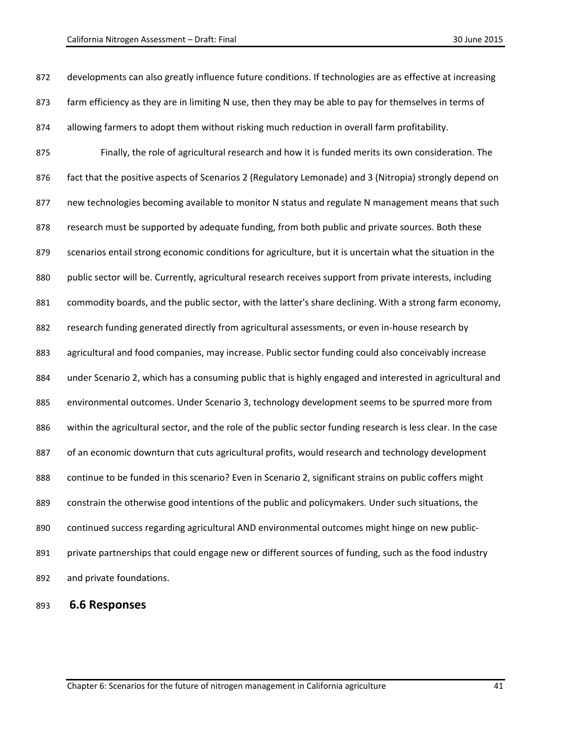872 developments can also greatly influence future conditions. If technologies are as effective at increasing 873 farm efficiency as they are in limiting N use, then they may be able to pay for themselves in terms of allowing farmers to adopt them without risking much reduction in overall farm profitability. Finally, the role of agricultural research and how it is funded merits its own consideration. The fact that the positive aspects of Scenarios 2 (Regulatory Lemonade) and 3 (Nitropia) strongly depend on 877 new technologies becoming available to monitor N status and regulate N management means that such 878 research must be supported by adequate funding, from both public and private sources. Both these scenarios entail strong economic conditions for agriculture, but it is uncertain what the situation in the public sector will be. Currently, agricultural research receives support from private interests, including commodity boards, and the public sector, with the latter's share declining. With a strong farm economy, research funding generated directly from agricultural assessments, or even in-house research by agricultural and food companies, may increase. Public sector funding could also conceivably increase under Scenario 2, which has a consuming public that is highly engaged and interested in agricultural and environmental outcomes. Under Scenario 3, technology development seems to be spurred more from within the agricultural sector, and the role of the public sector funding research is less clear. In the case of an economic downturn that cuts agricultural profits, would research and technology development continue to be funded in this scenario? Even in Scenario 2, significant strains on public coffers might constrain the otherwise good intentions of the public and policymakers. Under such situations, the continued success regarding agricultural AND environmental outcomes might hinge on new public-891 private partnerships that could engage new or different sources of funding, such as the food industry and private foundations.

### **6.6 Responses**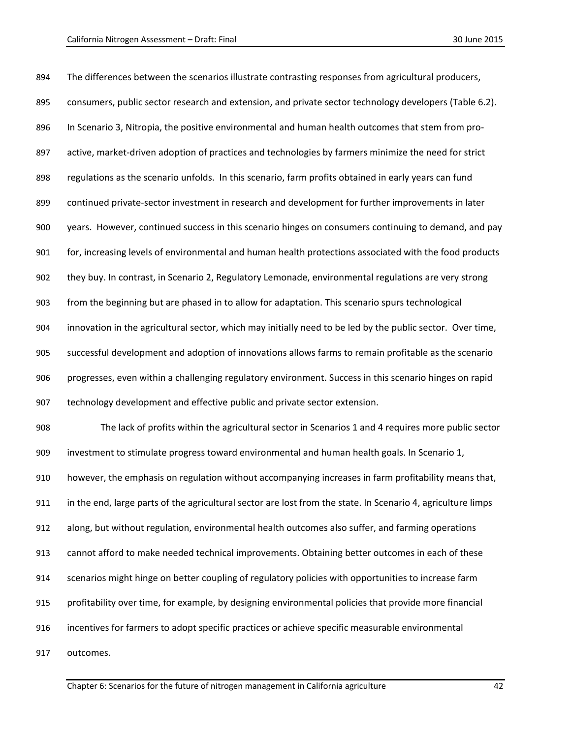The differences between the scenarios illustrate contrasting responses from agricultural producers, 895 consumers, public sector research and extension, and private sector technology developers (Table 6.2). In Scenario 3, Nitropia, the positive environmental and human health outcomes that stem from pro- active, market-driven adoption of practices and technologies by farmers minimize the need for strict regulations as the scenario unfolds. In this scenario, farm profits obtained in early years can fund continued private-sector investment in research and development for further improvements in later years. However, continued success in this scenario hinges on consumers continuing to demand, and pay for, increasing levels of environmental and human health protections associated with the food products they buy. In contrast, in Scenario 2, Regulatory Lemonade, environmental regulations are very strong from the beginning but are phased in to allow for adaptation. This scenario spurs technological innovation in the agricultural sector, which may initially need to be led by the public sector. Over time, successful development and adoption of innovations allows farms to remain profitable as the scenario progresses, even within a challenging regulatory environment. Success in this scenario hinges on rapid technology development and effective public and private sector extension. The lack of profits within the agricultural sector in Scenarios 1 and 4 requires more public sector investment to stimulate progress toward environmental and human health goals. In Scenario 1, however, the emphasis on regulation without accompanying increases in farm profitability means that, in the end, large parts of the agricultural sector are lost from the state. In Scenario 4, agriculture limps along, but without regulation, environmental health outcomes also suffer, and farming operations cannot afford to make needed technical improvements. Obtaining better outcomes in each of these scenarios might hinge on better coupling of regulatory policies with opportunities to increase farm profitability over time, for example, by designing environmental policies that provide more financial incentives for farmers to adopt specific practices or achieve specific measurable environmental outcomes.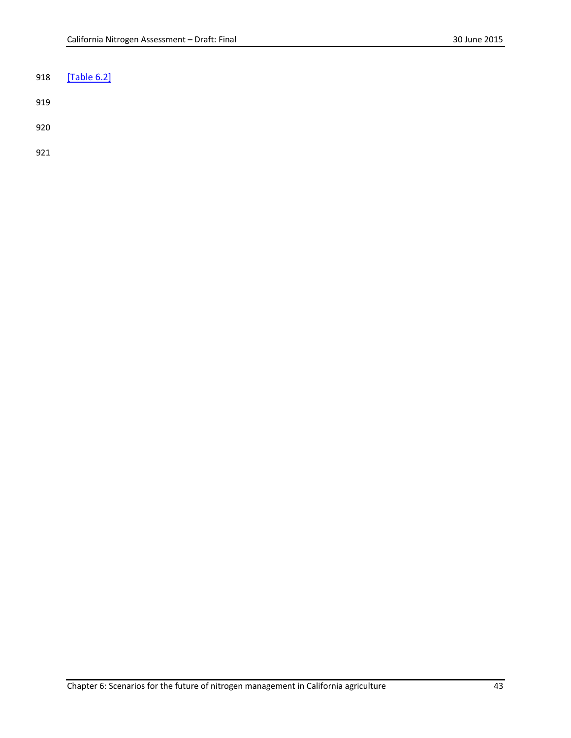## <span id="page-42-0"></span>[\[Table 6.2\]](#page-48-0)

- 
- 
-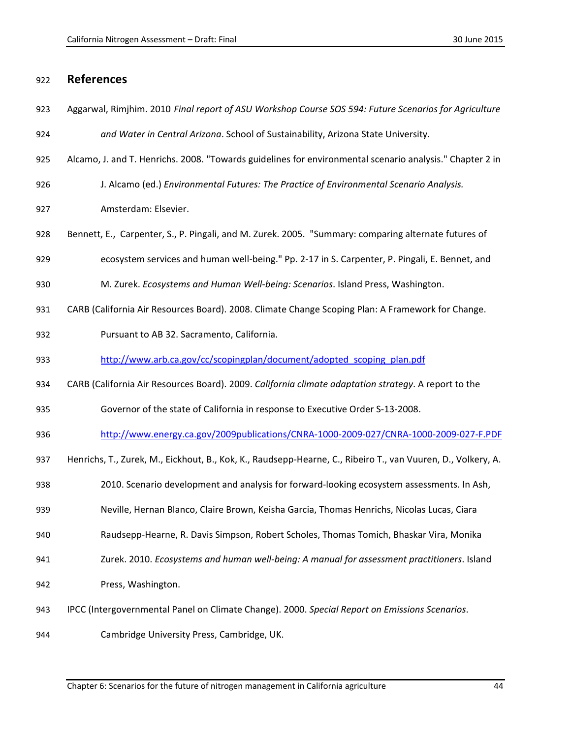# **References**

- Aggarwal, Rimjhim. 2010 *Final report of ASU Workshop Course SOS 594: Future Scenarios for Agriculture and Water in Central Arizona*. School of Sustainability, Arizona State University.
- Alcamo, J. and T. Henrichs. 2008. "Towards guidelines for environmental scenario analysis." Chapter 2 in
- J. Alcamo (ed.) *Environmental Futures: The Practice of Environmental Scenario Analysis.*
- Amsterdam: Elsevier.
- Bennett, E., Carpenter, S., P. Pingali, and M. Zurek. 2005. "Summary: comparing alternate futures of
- ecosystem services and human well-being." Pp. 2-17 in S. Carpenter, P. Pingali, E. Bennet, and
- M. Zurek. *Ecosystems and Human Well-being: Scenarios*. Island Press, Washington.
- CARB (California Air Resources Board). 2008. Climate Change Scoping Plan: A Framework for Change.
- Pursuant to AB 32. Sacramento, California.
- [http://www.arb.ca.gov/cc/scopingplan/document/adopted\\_scoping\\_plan.pdf](http://www.arb.ca.gov/cc/scopingplan/document/adopted_scoping_plan.pdf)
- CARB (California Air Resources Board). 2009. *California climate adaptation strategy*. A report to the
- Governor of the state of California in response to Executive Order S-13-2008.
- <http://www.energy.ca.gov/2009publications/CNRA-1000-2009-027/CNRA-1000-2009-027-F.PDF>
- Henrichs, T., Zurek, M., Eickhout, B., Kok, K., Raudsepp-Hearne, C., Ribeiro T., van Vuuren, D., Volkery, A.
- 2010. Scenario development and analysis for forward-looking ecosystem assessments. In Ash,
- Neville, Hernan Blanco, Claire Brown, Keisha Garcia, Thomas Henrichs, Nicolas Lucas, Ciara
- Raudsepp-Hearne, R. Davis Simpson, Robert Scholes, Thomas Tomich, Bhaskar Vira, Monika
- Zurek. 2010. *Ecosystems and human well-being: A manual for assessment practitioners*. Island
- Press, Washington.
- IPCC (Intergovernmental Panel on Climate Change). 2000. *Special Report on Emissions Scenarios*.
- Cambridge University Press, Cambridge, UK.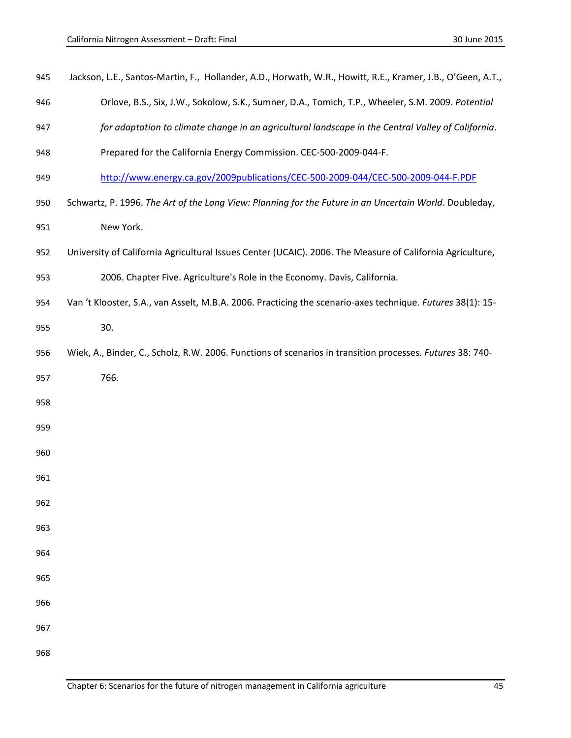<span id="page-44-0"></span>

| 945 | Jackson, L.E., Santos-Martin, F., Hollander, A.D., Horwath, W.R., Howitt, R.E., Kramer, J.B., O'Geen, A.T., |
|-----|-------------------------------------------------------------------------------------------------------------|
| 946 | Orlove, B.S., Six, J.W., Sokolow, S.K., Sumner, D.A., Tomich, T.P., Wheeler, S.M. 2009. Potential           |
| 947 | for adaptation to climate change in an agricultural landscape in the Central Valley of California.          |
| 948 | Prepared for the California Energy Commission. CEC-500-2009-044-F.                                          |
| 949 | http://www.energy.ca.gov/2009publications/CEC-500-2009-044/CEC-500-2009-044-F.PDF                           |
| 950 | Schwartz, P. 1996. The Art of the Long View: Planning for the Future in an Uncertain World. Doubleday,      |
| 951 | New York.                                                                                                   |
| 952 | University of California Agricultural Issues Center (UCAIC). 2006. The Measure of California Agriculture,   |
| 953 | 2006. Chapter Five. Agriculture's Role in the Economy. Davis, California.                                   |
| 954 | Van 't Klooster, S.A., van Asselt, M.B.A. 2006. Practicing the scenario-axes technique. Futures 38(1): 15-  |
| 955 | 30.                                                                                                         |
| 956 | Wiek, A., Binder, C., Scholz, R.W. 2006. Functions of scenarios in transition processes. Futures 38: 740-   |
| 957 | 766.                                                                                                        |
| 958 |                                                                                                             |
| 959 |                                                                                                             |
| 960 |                                                                                                             |
| 961 |                                                                                                             |
| 962 |                                                                                                             |
| 963 |                                                                                                             |
| 964 |                                                                                                             |
| 965 |                                                                                                             |
| 966 |                                                                                                             |
| 967 |                                                                                                             |
| 968 |                                                                                                             |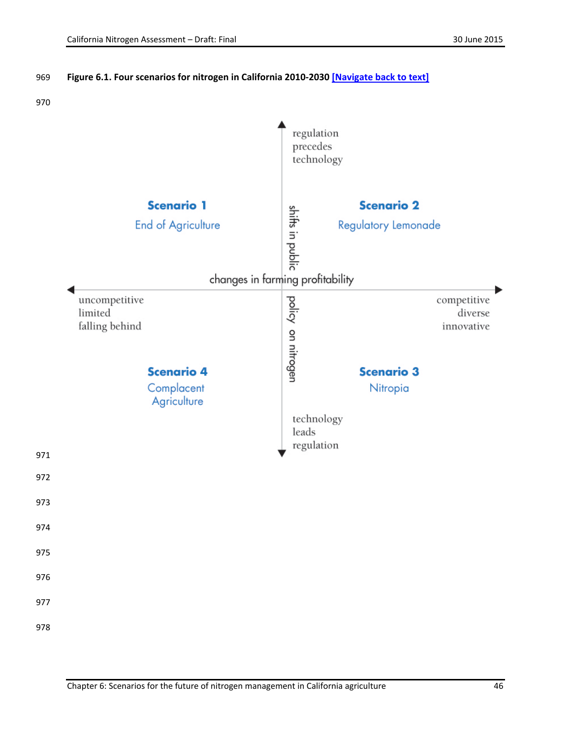

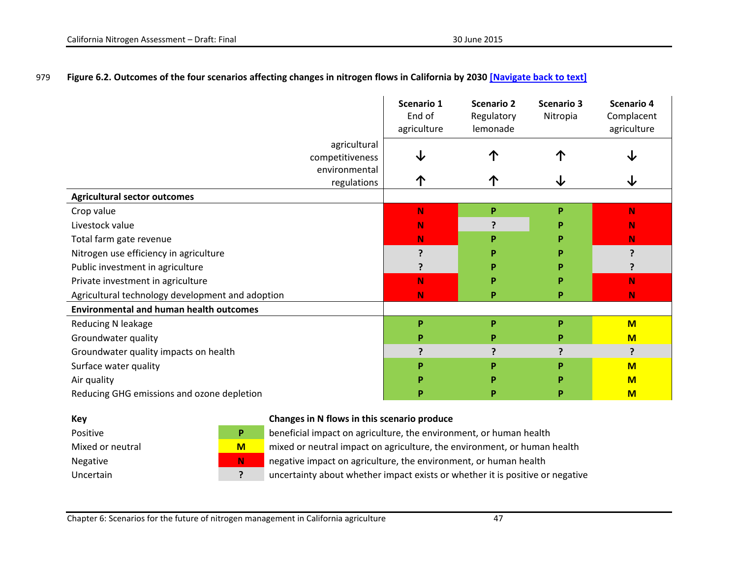#### 979 **Figure 6.2. Outcomes of the four scenarios affecting changes in nitrogen flows in California by 2030 [\[Navigate back to text\]](#page-12-0)**

<span id="page-46-0"></span>

|                                                    | Scenario 1<br>End of<br>agriculture | <b>Scenario 2</b><br>Regulatory<br>lemonade | <b>Scenario 3</b><br>Nitropia | <b>Scenario 4</b><br>Complacent<br>agriculture |
|----------------------------------------------------|-------------------------------------|---------------------------------------------|-------------------------------|------------------------------------------------|
| agricultural<br>competitiveness<br>environmental   |                                     | ጥ                                           |                               |                                                |
| regulations<br><b>Agricultural sector outcomes</b> |                                     | <b>T</b>                                    | ◡                             |                                                |
| Crop value                                         | N                                   | P                                           | P                             | N                                              |
| Livestock value                                    | N                                   |                                             | P                             | $\mathbf N$                                    |
| Total farm gate revenue                            | N.                                  | P                                           | P                             | N.                                             |
| Nitrogen use efficiency in agriculture             | ?                                   | P                                           | P                             | C                                              |
| Public investment in agriculture                   |                                     | P                                           | P                             |                                                |
| Private investment in agriculture                  | N                                   | P                                           | P                             | N                                              |
| Agricultural technology development and adoption   | N                                   | P                                           | P                             | N                                              |
| <b>Environmental and human health outcomes</b>     |                                     |                                             |                               |                                                |
| Reducing N leakage                                 | P                                   | P                                           | P                             | $M$                                            |
| Groundwater quality                                | P                                   | Р                                           | P                             | $M$                                            |
| Groundwater quality impacts on health              | ว                                   |                                             | ?                             | ?                                              |
| Surface water quality                              | P                                   | P                                           | P                             | M                                              |
| Air quality                                        | D                                   | D                                           | P                             | M                                              |
| Reducing GHG emissions and ozone depletion         | P                                   | P                                           | P                             | $M$                                            |

#### **Key Changes in N flows in this scenario produce**



**P P** beneficial impact on agriculture, the environment, or human health

Mixed or neutral **M** Mixed or neutral impact on agriculture, the environment, or human health

Negative **N N** negative impact on agriculture, the environment, or human health

Uncertain **?** uncertainty about whether impact exists or whether it is positive or negative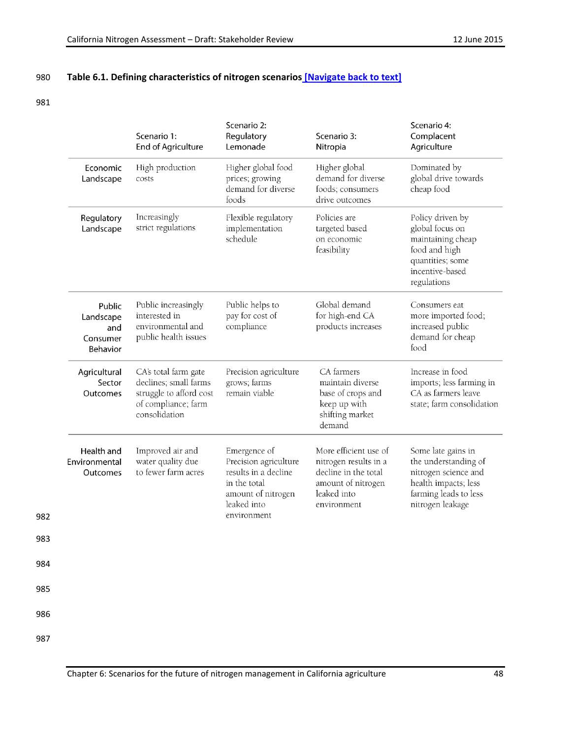## <span id="page-47-0"></span>**Table 6.1. Defining characteristics of nitrogen scenarios [\[Navigate back to text\]](#page-9-0)**

#### 

|                                                    | Scenario 1:<br>End of Agriculture                                                                                | Scenario 2:<br>Regulatory<br>Lemonade                                                                                             | Scenario 3:<br>Nitropia                                                                                                    | Scenario 4:<br>Complacent<br>Agriculture                                                                                                |
|----------------------------------------------------|------------------------------------------------------------------------------------------------------------------|-----------------------------------------------------------------------------------------------------------------------------------|----------------------------------------------------------------------------------------------------------------------------|-----------------------------------------------------------------------------------------------------------------------------------------|
| Economic<br>Landscape                              | High production<br>costs                                                                                         | Higher global food<br>prices; growing<br>demand for diverse<br>foods                                                              | Higher global<br>demand for diverse<br>foods; consumers<br>drive outcomes                                                  | Dominated by<br>global drive towards<br>cheap food                                                                                      |
| Regulatory<br>Landscape                            | Increasingly<br>strict regulations                                                                               | Flexible regulatory<br>implementation<br>schedule                                                                                 | Policies are<br>targeted based<br>on economic<br>feasibility                                                               | Policy driven by<br>global focus on<br>maintaining cheap<br>food and high<br>quantities; some<br>incentive-based<br>regulations         |
| Public<br>Landscape<br>and<br>Consumer<br>Behavior | Public increasingly<br>interested in<br>environmental and<br>public health issues                                | Public helps to<br>pay for cost of<br>compliance                                                                                  | Global demand<br>for high-end CA<br>products increases                                                                     | Consumers eat<br>more imported food,<br>increased public<br>demand for cheap<br>food                                                    |
| Agricultural<br>Sector<br>Outcomes                 | CA's total farm gate<br>declines; small farms<br>struggle to afford cost<br>of compliance; farm<br>consolidation | Precision agriculture<br>grows; farms<br>remain viable                                                                            | CA farmers<br>maintain diverse<br>base of crops and<br>keep up with<br>shifting market<br>demand                           | Increase in food<br>imports; less farming in<br>CA as farmers leave<br>state; farm consolidation                                        |
| Health and<br>Environmental<br>Outcomes            | Improved air and<br>water quality due<br>to fewer farm acres                                                     | Emergence of<br>Precision agriculture<br>results in a decline<br>in the total<br>amount of nitrogen<br>leaked into<br>environment | More efficient use of<br>nitrogen results in a<br>decline in the total<br>amount of nitrogen<br>leaked into<br>environment | Some late gains in<br>the understanding of<br>nitrogen science and<br>health impacts; less<br>farming leads to less<br>nitrogen leakage |
|                                                    |                                                                                                                  |                                                                                                                                   |                                                                                                                            |                                                                                                                                         |